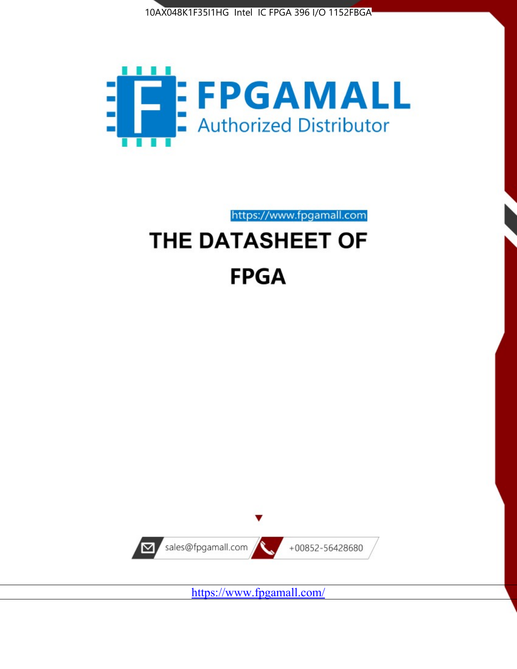



# https://www.fpgamall.com THE DATASHEET OF **FPGA**



<https://www.fpgamall.com/>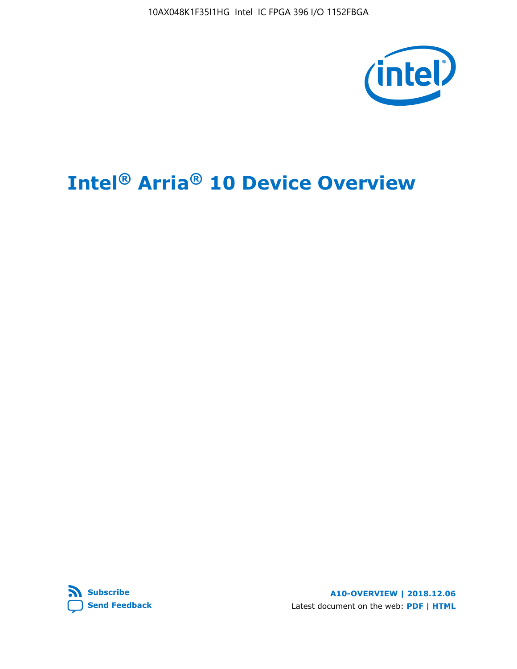

# **Intel® Arria® 10 Device Overview**



**A10-OVERVIEW | 2018.12.06** Latest document on the web: **[PDF](https://www.intel.com/content/dam/www/programmable/us/en/pdfs/literature/hb/arria-10/a10_overview.pdf)** | **[HTML](https://www.intel.com/content/www/us/en/programmable/documentation/sam1403480274650.html)**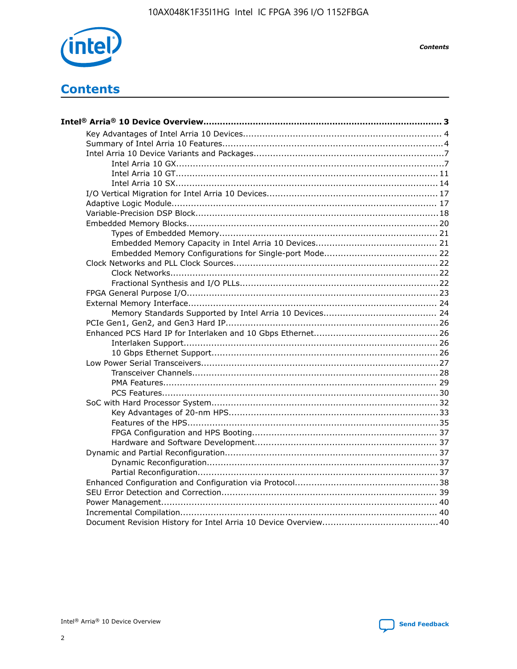

**Contents** 

# **Contents**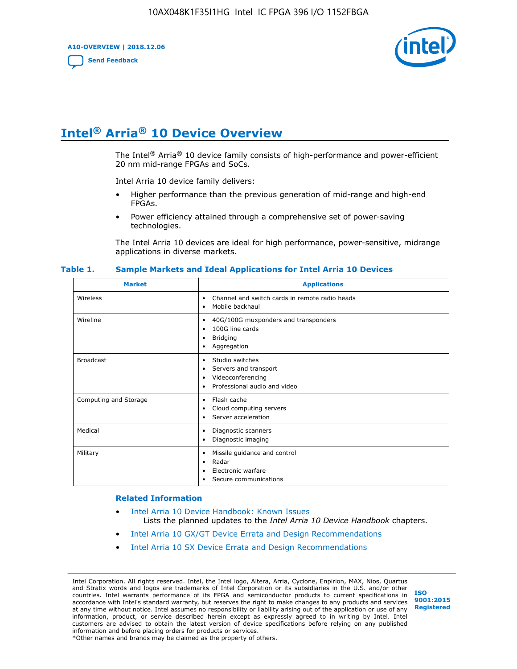**A10-OVERVIEW | 2018.12.06**

**[Send Feedback](mailto:FPGAtechdocfeedback@intel.com?subject=Feedback%20on%20Intel%20Arria%2010%20Device%20Overview%20(A10-OVERVIEW%202018.12.06)&body=We%20appreciate%20your%20feedback.%20In%20your%20comments,%20also%20specify%20the%20page%20number%20or%20paragraph.%20Thank%20you.)**



# **Intel® Arria® 10 Device Overview**

The Intel<sup>®</sup> Arria<sup>®</sup> 10 device family consists of high-performance and power-efficient 20 nm mid-range FPGAs and SoCs.

Intel Arria 10 device family delivers:

- Higher performance than the previous generation of mid-range and high-end FPGAs.
- Power efficiency attained through a comprehensive set of power-saving technologies.

The Intel Arria 10 devices are ideal for high performance, power-sensitive, midrange applications in diverse markets.

| <b>Market</b>         | <b>Applications</b>                                                                                                           |
|-----------------------|-------------------------------------------------------------------------------------------------------------------------------|
| Wireless              | Channel and switch cards in remote radio heads<br>$\bullet$<br>Mobile backhaul<br>٠                                           |
| Wireline              | 40G/100G muxponders and transponders<br>٠<br>100G line cards<br>$\bullet$<br><b>Bridging</b><br>٠<br>Aggregation<br>$\bullet$ |
| <b>Broadcast</b>      | Studio switches<br>$\bullet$<br>Servers and transport<br>٠<br>Videoconferencing<br>٠<br>Professional audio and video<br>٠     |
| Computing and Storage | Flash cache<br>٠<br>Cloud computing servers<br>٠<br>Server acceleration<br>٠                                                  |
| Medical               | Diagnostic scanners<br>٠<br>Diagnostic imaging<br>$\bullet$                                                                   |
| Military              | Missile guidance and control<br>٠<br>Radar<br>٠<br>Electronic warfare<br>٠<br>Secure communications<br>٠                      |

#### **Table 1. Sample Markets and Ideal Applications for Intel Arria 10 Devices**

#### **Related Information**

- [Intel Arria 10 Device Handbook: Known Issues](http://www.altera.com/support/kdb/solutions/rd07302013_646.html) Lists the planned updates to the *Intel Arria 10 Device Handbook* chapters.
- [Intel Arria 10 GX/GT Device Errata and Design Recommendations](https://www.intel.com/content/www/us/en/programmable/documentation/agz1493851706374.html#yqz1494433888646)
- [Intel Arria 10 SX Device Errata and Design Recommendations](https://www.intel.com/content/www/us/en/programmable/documentation/cru1462832385668.html#cru1462832558642)

Intel Corporation. All rights reserved. Intel, the Intel logo, Altera, Arria, Cyclone, Enpirion, MAX, Nios, Quartus and Stratix words and logos are trademarks of Intel Corporation or its subsidiaries in the U.S. and/or other countries. Intel warrants performance of its FPGA and semiconductor products to current specifications in accordance with Intel's standard warranty, but reserves the right to make changes to any products and services at any time without notice. Intel assumes no responsibility or liability arising out of the application or use of any information, product, or service described herein except as expressly agreed to in writing by Intel. Intel customers are advised to obtain the latest version of device specifications before relying on any published information and before placing orders for products or services. \*Other names and brands may be claimed as the property of others.

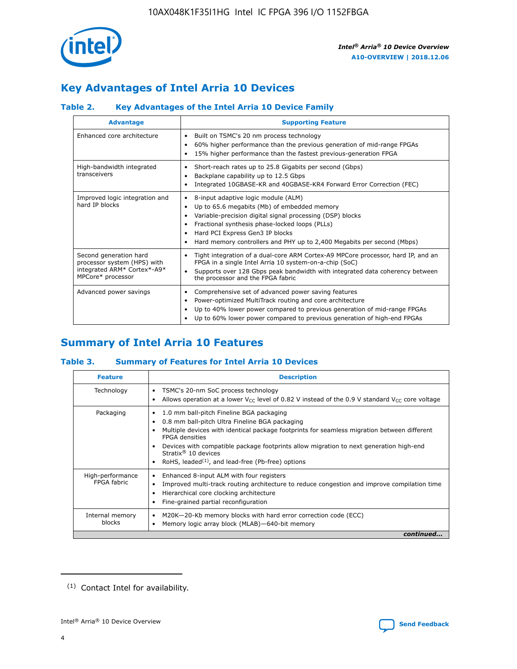

## **Key Advantages of Intel Arria 10 Devices**

### **Table 2. Key Advantages of the Intel Arria 10 Device Family**

| <b>Advantage</b>                                                                                          | <b>Supporting Feature</b>                                                                                                                                                                                                                                                                                                |  |  |  |  |  |  |
|-----------------------------------------------------------------------------------------------------------|--------------------------------------------------------------------------------------------------------------------------------------------------------------------------------------------------------------------------------------------------------------------------------------------------------------------------|--|--|--|--|--|--|
| Enhanced core architecture                                                                                | Built on TSMC's 20 nm process technology<br>٠<br>60% higher performance than the previous generation of mid-range FPGAs<br>٠<br>15% higher performance than the fastest previous-generation FPGA<br>٠                                                                                                                    |  |  |  |  |  |  |
| High-bandwidth integrated<br>transceivers                                                                 | Short-reach rates up to 25.8 Gigabits per second (Gbps)<br>٠<br>Backplane capability up to 12.5 Gbps<br>٠<br>Integrated 10GBASE-KR and 40GBASE-KR4 Forward Error Correction (FEC)<br>٠                                                                                                                                   |  |  |  |  |  |  |
| Improved logic integration and<br>hard IP blocks                                                          | 8-input adaptive logic module (ALM)<br>٠<br>Up to 65.6 megabits (Mb) of embedded memory<br>٠<br>Variable-precision digital signal processing (DSP) blocks<br>Fractional synthesis phase-locked loops (PLLs)<br>Hard PCI Express Gen3 IP blocks<br>Hard memory controllers and PHY up to 2,400 Megabits per second (Mbps) |  |  |  |  |  |  |
| Second generation hard<br>processor system (HPS) with<br>integrated ARM* Cortex*-A9*<br>MPCore* processor | Tight integration of a dual-core ARM Cortex-A9 MPCore processor, hard IP, and an<br>٠<br>FPGA in a single Intel Arria 10 system-on-a-chip (SoC)<br>Supports over 128 Gbps peak bandwidth with integrated data coherency between<br>$\bullet$<br>the processor and the FPGA fabric                                        |  |  |  |  |  |  |
| Advanced power savings                                                                                    | Comprehensive set of advanced power saving features<br>٠<br>Power-optimized MultiTrack routing and core architecture<br>٠<br>Up to 40% lower power compared to previous generation of mid-range FPGAs<br>٠<br>Up to 60% lower power compared to previous generation of high-end FPGAs                                    |  |  |  |  |  |  |

### **Summary of Intel Arria 10 Features**

### **Table 3. Summary of Features for Intel Arria 10 Devices**

| <b>Feature</b>                  | <b>Description</b>                                                                                                                                                                                                                                                                                                                                                                                 |
|---------------------------------|----------------------------------------------------------------------------------------------------------------------------------------------------------------------------------------------------------------------------------------------------------------------------------------------------------------------------------------------------------------------------------------------------|
| Technology                      | TSMC's 20-nm SoC process technology<br>Allows operation at a lower $V_{\text{CC}}$ level of 0.82 V instead of the 0.9 V standard $V_{\text{CC}}$ core voltage                                                                                                                                                                                                                                      |
| Packaging                       | 1.0 mm ball-pitch Fineline BGA packaging<br>٠<br>0.8 mm ball-pitch Ultra Fineline BGA packaging<br>Multiple devices with identical package footprints for seamless migration between different<br><b>FPGA</b> densities<br>Devices with compatible package footprints allow migration to next generation high-end<br>Stratix $@10$ devices<br>RoHS, leaded $(1)$ , and lead-free (Pb-free) options |
| High-performance<br>FPGA fabric | Enhanced 8-input ALM with four registers<br>Improved multi-track routing architecture to reduce congestion and improve compilation time<br>Hierarchical core clocking architecture<br>Fine-grained partial reconfiguration                                                                                                                                                                         |
| Internal memory<br>blocks       | M20K-20-Kb memory blocks with hard error correction code (ECC)<br>Memory logic array block (MLAB)-640-bit memory                                                                                                                                                                                                                                                                                   |
|                                 | continued                                                                                                                                                                                                                                                                                                                                                                                          |



<sup>(1)</sup> Contact Intel for availability.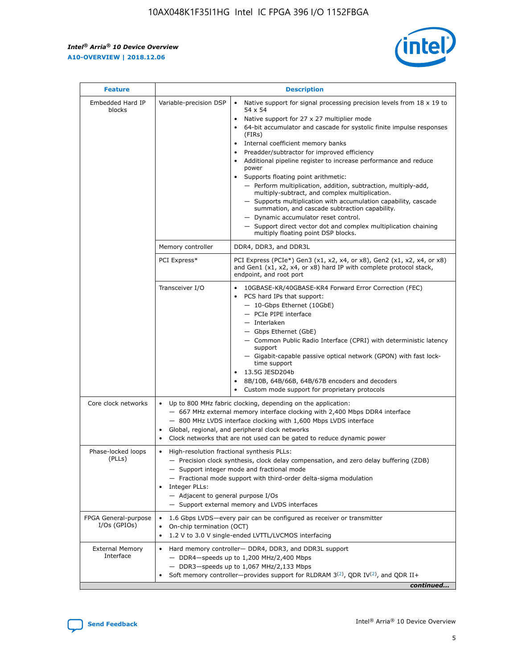$\mathsf{r}$ 



| <b>Feature</b>                         |                                                                                                                | <b>Description</b>                                                                                                                                                                                                                                                                                                                                                                                                                                                                                                                                                                                                                                                                                                                                                                                                                          |
|----------------------------------------|----------------------------------------------------------------------------------------------------------------|---------------------------------------------------------------------------------------------------------------------------------------------------------------------------------------------------------------------------------------------------------------------------------------------------------------------------------------------------------------------------------------------------------------------------------------------------------------------------------------------------------------------------------------------------------------------------------------------------------------------------------------------------------------------------------------------------------------------------------------------------------------------------------------------------------------------------------------------|
| Embedded Hard IP<br>blocks             | Variable-precision DSP                                                                                         | Native support for signal processing precision levels from $18 \times 19$ to<br>$\bullet$<br>54 x 54<br>Native support for 27 x 27 multiplier mode<br>64-bit accumulator and cascade for systolic finite impulse responses<br>(FIRs)<br>Internal coefficient memory banks<br>٠<br>Preadder/subtractor for improved efficiency<br>Additional pipeline register to increase performance and reduce<br>power<br>Supports floating point arithmetic:<br>- Perform multiplication, addition, subtraction, multiply-add,<br>multiply-subtract, and complex multiplication.<br>- Supports multiplication with accumulation capability, cascade<br>summation, and cascade subtraction capability.<br>- Dynamic accumulator reset control.<br>- Support direct vector dot and complex multiplication chaining<br>multiply floating point DSP blocks. |
|                                        | Memory controller                                                                                              | DDR4, DDR3, and DDR3L                                                                                                                                                                                                                                                                                                                                                                                                                                                                                                                                                                                                                                                                                                                                                                                                                       |
|                                        | PCI Express*                                                                                                   | PCI Express (PCIe*) Gen3 (x1, x2, x4, or x8), Gen2 (x1, x2, x4, or x8)<br>and Gen1 (x1, x2, x4, or x8) hard IP with complete protocol stack,<br>endpoint, and root port                                                                                                                                                                                                                                                                                                                                                                                                                                                                                                                                                                                                                                                                     |
|                                        | Transceiver I/O                                                                                                | 10GBASE-KR/40GBASE-KR4 Forward Error Correction (FEC)<br>PCS hard IPs that support:<br>- 10-Gbps Ethernet (10GbE)<br>- PCIe PIPE interface<br>- Interlaken<br>- Gbps Ethernet (GbE)<br>- Common Public Radio Interface (CPRI) with deterministic latency<br>support<br>- Gigabit-capable passive optical network (GPON) with fast lock-<br>time support<br>13.5G JESD204b<br>$\bullet$<br>8B/10B, 64B/66B, 64B/67B encoders and decoders<br>Custom mode support for proprietary protocols                                                                                                                                                                                                                                                                                                                                                   |
| Core clock networks                    | $\bullet$<br>$\bullet$                                                                                         | Up to 800 MHz fabric clocking, depending on the application:<br>- 667 MHz external memory interface clocking with 2,400 Mbps DDR4 interface<br>- 800 MHz LVDS interface clocking with 1,600 Mbps LVDS interface<br>Global, regional, and peripheral clock networks<br>Clock networks that are not used can be gated to reduce dynamic power                                                                                                                                                                                                                                                                                                                                                                                                                                                                                                 |
| Phase-locked loops<br>(PLLs)           | High-resolution fractional synthesis PLLs:<br>$\bullet$<br>Integer PLLs:<br>- Adjacent to general purpose I/Os | - Precision clock synthesis, clock delay compensation, and zero delay buffering (ZDB)<br>- Support integer mode and fractional mode<br>- Fractional mode support with third-order delta-sigma modulation<br>- Support external memory and LVDS interfaces                                                                                                                                                                                                                                                                                                                                                                                                                                                                                                                                                                                   |
| FPGA General-purpose<br>$I/Os$ (GPIOs) | On-chip termination (OCT)<br>$\bullet$                                                                         | 1.6 Gbps LVDS-every pair can be configured as receiver or transmitter<br>1.2 V to 3.0 V single-ended LVTTL/LVCMOS interfacing                                                                                                                                                                                                                                                                                                                                                                                                                                                                                                                                                                                                                                                                                                               |
| <b>External Memory</b><br>Interface    |                                                                                                                | Hard memory controller- DDR4, DDR3, and DDR3L support<br>$-$ DDR4 $-$ speeds up to 1,200 MHz/2,400 Mbps<br>- DDR3-speeds up to 1,067 MHz/2,133 Mbps<br>Soft memory controller—provides support for RLDRAM $3^{(2)}$ , QDR IV $(2^2)$ , and QDR II+<br>continued                                                                                                                                                                                                                                                                                                                                                                                                                                                                                                                                                                             |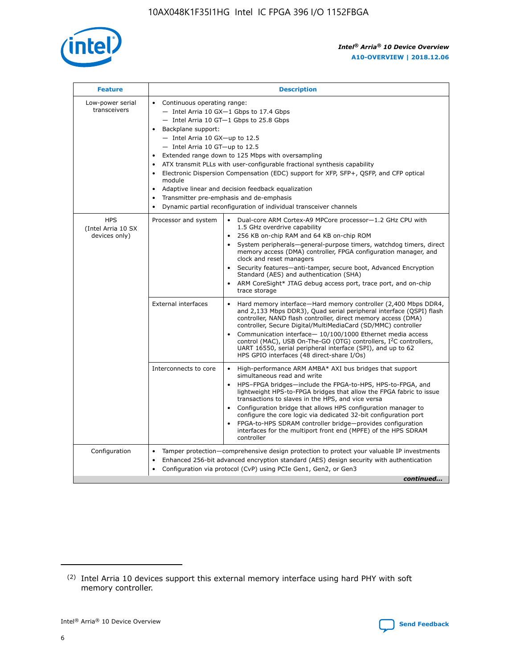

| <b>Feature</b>                                    | <b>Description</b>                                                                                                                                                                                                                                                                                                                                                                                                                                                                                                                                                                                                                                  |
|---------------------------------------------------|-----------------------------------------------------------------------------------------------------------------------------------------------------------------------------------------------------------------------------------------------------------------------------------------------------------------------------------------------------------------------------------------------------------------------------------------------------------------------------------------------------------------------------------------------------------------------------------------------------------------------------------------------------|
| Low-power serial<br>transceivers                  | • Continuous operating range:<br>- Intel Arria 10 GX-1 Gbps to 17.4 Gbps<br>- Intel Arria 10 GT-1 Gbps to 25.8 Gbps<br>Backplane support:<br>- Intel Arria 10 GX-up to 12.5<br>- Intel Arria 10 GT-up to 12.5<br>Extended range down to 125 Mbps with oversampling<br>ATX transmit PLLs with user-configurable fractional synthesis capability<br>Electronic Dispersion Compensation (EDC) support for XFP, SFP+, QSFP, and CFP optical<br>module<br>Adaptive linear and decision feedback equalization<br>$\bullet$<br>Transmitter pre-emphasis and de-emphasis<br>$\bullet$<br>Dynamic partial reconfiguration of individual transceiver channels |
| <b>HPS</b><br>(Intel Arria 10 SX<br>devices only) | Dual-core ARM Cortex-A9 MPCore processor-1.2 GHz CPU with<br>Processor and system<br>$\bullet$<br>1.5 GHz overdrive capability<br>256 KB on-chip RAM and 64 KB on-chip ROM<br>System peripherals—general-purpose timers, watchdog timers, direct<br>memory access (DMA) controller, FPGA configuration manager, and<br>clock and reset managers<br>Security features-anti-tamper, secure boot, Advanced Encryption<br>Standard (AES) and authentication (SHA)<br>ARM CoreSight* JTAG debug access port, trace port, and on-chip<br>trace storage                                                                                                    |
|                                                   | <b>External interfaces</b><br>Hard memory interface-Hard memory controller (2,400 Mbps DDR4,<br>$\bullet$<br>and 2,133 Mbps DDR3), Quad serial peripheral interface (QSPI) flash<br>controller, NAND flash controller, direct memory access (DMA)<br>controller, Secure Digital/MultiMediaCard (SD/MMC) controller<br>Communication interface-10/100/1000 Ethernet media access<br>control (MAC), USB On-The-GO (OTG) controllers, I <sup>2</sup> C controllers,<br>UART 16550, serial peripheral interface (SPI), and up to 62<br>HPS GPIO interfaces (48 direct-share I/Os)                                                                       |
|                                                   | High-performance ARM AMBA* AXI bus bridges that support<br>Interconnects to core<br>$\bullet$<br>simultaneous read and write<br>HPS-FPGA bridges-include the FPGA-to-HPS, HPS-to-FPGA, and<br>$\bullet$<br>lightweight HPS-to-FPGA bridges that allow the FPGA fabric to issue<br>transactions to slaves in the HPS, and vice versa<br>Configuration bridge that allows HPS configuration manager to<br>configure the core logic via dedicated 32-bit configuration port<br>FPGA-to-HPS SDRAM controller bridge-provides configuration<br>interfaces for the multiport front end (MPFE) of the HPS SDRAM<br>controller                              |
| Configuration                                     | Tamper protection—comprehensive design protection to protect your valuable IP investments<br>Enhanced 256-bit advanced encryption standard (AES) design security with authentication<br>٠<br>Configuration via protocol (CvP) using PCIe Gen1, Gen2, or Gen3<br>continued                                                                                                                                                                                                                                                                                                                                                                           |

<sup>(2)</sup> Intel Arria 10 devices support this external memory interface using hard PHY with soft memory controller.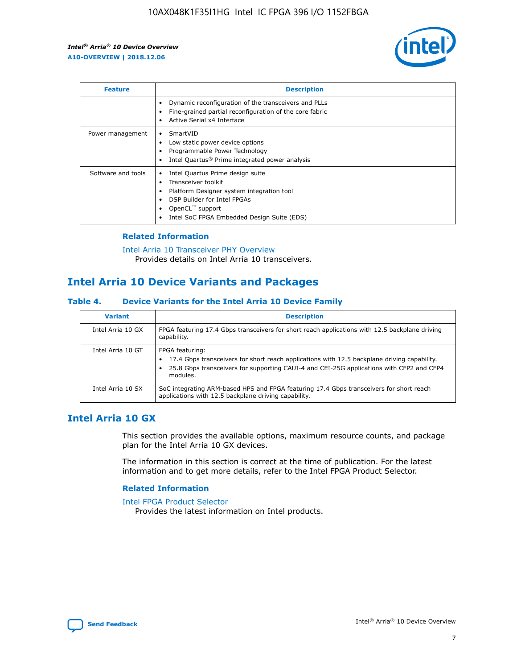

| <b>Feature</b>     | <b>Description</b>                                                                                                                                                                                                            |
|--------------------|-------------------------------------------------------------------------------------------------------------------------------------------------------------------------------------------------------------------------------|
|                    | Dynamic reconfiguration of the transceivers and PLLs<br>Fine-grained partial reconfiguration of the core fabric<br>Active Serial x4 Interface<br>$\bullet$                                                                    |
| Power management   | SmartVID<br>Low static power device options<br>Programmable Power Technology<br>Intel Quartus <sup>®</sup> Prime integrated power analysis                                                                                    |
| Software and tools | Intel Quartus Prime design suite<br>Transceiver toolkit<br>$\bullet$<br>Platform Designer system integration tool<br>DSP Builder for Intel FPGAs<br>OpenCL <sup>"</sup> support<br>Intel SoC FPGA Embedded Design Suite (EDS) |

### **Related Information**

#### [Intel Arria 10 Transceiver PHY Overview](https://www.intel.com/content/www/us/en/programmable/documentation/nik1398707230472.html#nik1398706768037) Provides details on Intel Arria 10 transceivers.

### **Intel Arria 10 Device Variants and Packages**

### **Table 4. Device Variants for the Intel Arria 10 Device Family**

| <b>Variant</b>    | <b>Description</b>                                                                                                                                                                                                     |
|-------------------|------------------------------------------------------------------------------------------------------------------------------------------------------------------------------------------------------------------------|
| Intel Arria 10 GX | FPGA featuring 17.4 Gbps transceivers for short reach applications with 12.5 backplane driving<br>capability.                                                                                                          |
| Intel Arria 10 GT | FPGA featuring:<br>17.4 Gbps transceivers for short reach applications with 12.5 backplane driving capability.<br>25.8 Gbps transceivers for supporting CAUI-4 and CEI-25G applications with CFP2 and CFP4<br>modules. |
| Intel Arria 10 SX | SoC integrating ARM-based HPS and FPGA featuring 17.4 Gbps transceivers for short reach<br>applications with 12.5 backplane driving capability.                                                                        |

### **Intel Arria 10 GX**

This section provides the available options, maximum resource counts, and package plan for the Intel Arria 10 GX devices.

The information in this section is correct at the time of publication. For the latest information and to get more details, refer to the Intel FPGA Product Selector.

### **Related Information**

#### [Intel FPGA Product Selector](http://www.altera.com/products/selector/psg-selector.html) Provides the latest information on Intel products.

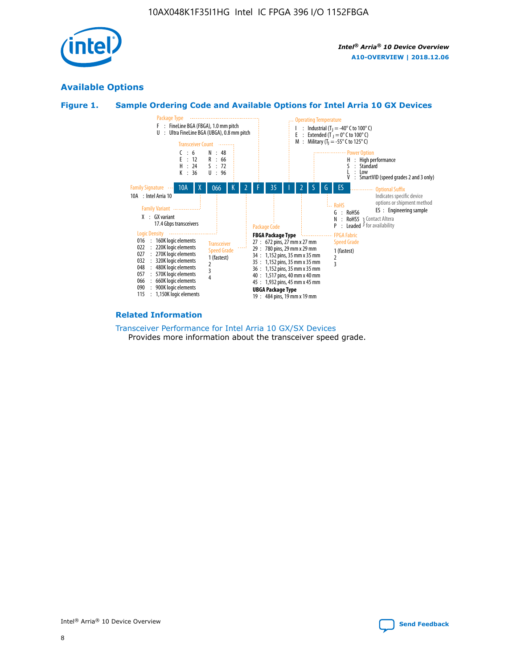

### **Available Options**





#### **Related Information**

[Transceiver Performance for Intel Arria 10 GX/SX Devices](https://www.intel.com/content/www/us/en/programmable/documentation/mcn1413182292568.html#mcn1413213965502) Provides more information about the transceiver speed grade.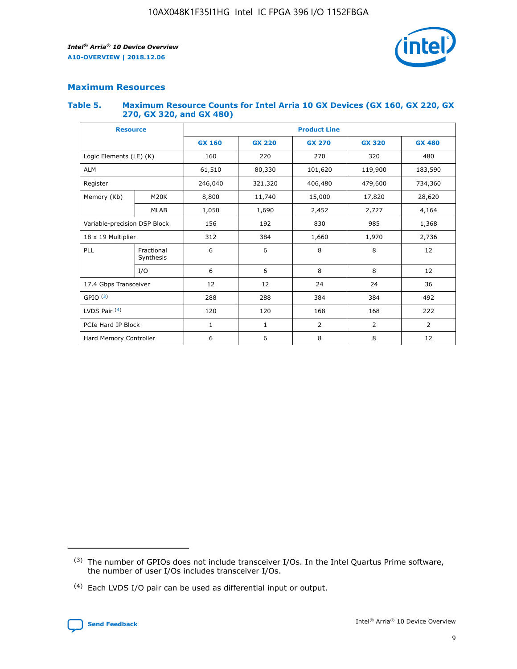

### **Maximum Resources**

#### **Table 5. Maximum Resource Counts for Intel Arria 10 GX Devices (GX 160, GX 220, GX 270, GX 320, and GX 480)**

| <b>Resource</b>         |                                                          | <b>Product Line</b> |                                                 |         |                |                |  |  |  |
|-------------------------|----------------------------------------------------------|---------------------|-------------------------------------------------|---------|----------------|----------------|--|--|--|
|                         |                                                          | <b>GX 160</b>       | <b>GX 220</b><br><b>GX 270</b><br><b>GX 320</b> |         |                | <b>GX 480</b>  |  |  |  |
| Logic Elements (LE) (K) |                                                          | 160                 | 220                                             | 270     | 320            | 480            |  |  |  |
| <b>ALM</b>              |                                                          | 61,510              | 80,330                                          | 101,620 | 119,900        | 183,590        |  |  |  |
| Register                |                                                          | 246,040             | 321,320                                         | 406,480 | 479,600        | 734,360        |  |  |  |
| Memory (Kb)             | M <sub>20</sub> K                                        | 8,800               | 11,740                                          | 15,000  | 17,820         | 28,620         |  |  |  |
|                         | <b>MLAB</b>                                              | 1,050               | 1,690                                           | 2,452   | 2,727          | 4,164          |  |  |  |
|                         | Variable-precision DSP Block<br>156<br>192<br>830<br>985 |                     |                                                 |         | 1,368          |                |  |  |  |
| 18 x 19 Multiplier      |                                                          | 312                 | 384                                             | 1,660   | 1,970          | 2,736          |  |  |  |
| PLL                     | Fractional<br>Synthesis                                  | 6                   | 6                                               | 8       | 8              | 12             |  |  |  |
|                         | I/O                                                      | 6                   | 6                                               | 8       | 8              | 12             |  |  |  |
| 17.4 Gbps Transceiver   |                                                          | 12                  | 12                                              | 24      | 24             | 36             |  |  |  |
| GPIO <sup>(3)</sup>     |                                                          | 288                 | 288                                             | 384     | 384            | 492            |  |  |  |
| LVDS Pair $(4)$         |                                                          | 120                 | 120                                             | 168     | 168            | 222            |  |  |  |
| PCIe Hard IP Block      |                                                          | 1                   | 1                                               | 2       | $\overline{2}$ | $\overline{2}$ |  |  |  |
| Hard Memory Controller  |                                                          | 6                   | 6                                               | 8       | 8              | 12             |  |  |  |

<sup>(4)</sup> Each LVDS I/O pair can be used as differential input or output.



<sup>(3)</sup> The number of GPIOs does not include transceiver I/Os. In the Intel Quartus Prime software, the number of user I/Os includes transceiver I/Os.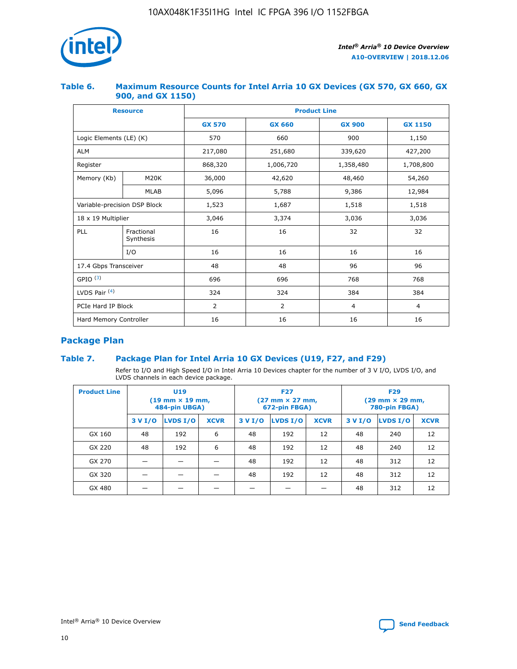

### **Table 6. Maximum Resource Counts for Intel Arria 10 GX Devices (GX 570, GX 660, GX 900, and GX 1150)**

|                              | <b>Resource</b>         | <b>Product Line</b> |                |                |                |  |  |  |
|------------------------------|-------------------------|---------------------|----------------|----------------|----------------|--|--|--|
|                              |                         | <b>GX 570</b>       | <b>GX 660</b>  | <b>GX 900</b>  | <b>GX 1150</b> |  |  |  |
| Logic Elements (LE) (K)      |                         | 570                 | 660            | 900            | 1,150          |  |  |  |
| <b>ALM</b>                   |                         | 217,080             | 251,680        | 339,620        | 427,200        |  |  |  |
| Register                     |                         | 868,320             | 1,006,720      | 1,358,480      | 1,708,800      |  |  |  |
| Memory (Kb)                  | <b>M20K</b>             | 36,000              | 42,620         | 48,460         | 54,260         |  |  |  |
|                              | <b>MLAB</b>             | 5,096               | 5,788          | 9,386          | 12,984         |  |  |  |
| Variable-precision DSP Block |                         | 1,523               | 1,687          | 1,518          | 1,518          |  |  |  |
| $18 \times 19$ Multiplier    |                         | 3,046               | 3,374          | 3,036          | 3,036          |  |  |  |
| PLL                          | Fractional<br>Synthesis | 16                  | 16             | 32             | 32             |  |  |  |
|                              | I/O                     | 16                  | 16             | 16             | 16             |  |  |  |
| 17.4 Gbps Transceiver        |                         | 48                  | 48             | 96             | 96             |  |  |  |
| GPIO <sup>(3)</sup>          |                         | 696                 | 696            | 768            | 768            |  |  |  |
| LVDS Pair $(4)$              |                         | 324                 | 324<br>384     |                | 384            |  |  |  |
| PCIe Hard IP Block           |                         | 2                   | $\overline{2}$ | $\overline{4}$ | 4              |  |  |  |
| Hard Memory Controller       |                         | 16                  | 16             | 16             | 16             |  |  |  |

### **Package Plan**

### **Table 7. Package Plan for Intel Arria 10 GX Devices (U19, F27, and F29)**

Refer to I/O and High Speed I/O in Intel Arria 10 Devices chapter for the number of 3 V I/O, LVDS I/O, and LVDS channels in each device package.

| <b>Product Line</b> | U <sub>19</sub><br>$(19 \text{ mm} \times 19 \text{ mm})$<br>484-pin UBGA) |          |             |         | <b>F27</b><br>(27 mm × 27 mm,<br>672-pin FBGA) |             | <b>F29</b><br>(29 mm × 29 mm,<br>780-pin FBGA) |          |             |  |
|---------------------|----------------------------------------------------------------------------|----------|-------------|---------|------------------------------------------------|-------------|------------------------------------------------|----------|-------------|--|
|                     | 3 V I/O                                                                    | LVDS I/O | <b>XCVR</b> | 3 V I/O | <b>LVDS I/O</b>                                | <b>XCVR</b> | 3 V I/O                                        | LVDS I/O | <b>XCVR</b> |  |
| GX 160              | 48                                                                         | 192      | 6           | 48      | 192                                            | 12          | 48                                             | 240      | 12          |  |
| GX 220              | 48                                                                         | 192      | 6           | 48      | 192                                            | 12          | 48                                             | 240      | 12          |  |
| GX 270              |                                                                            |          |             | 48      | 192                                            | 12          | 48                                             | 312      | 12          |  |
| GX 320              |                                                                            |          |             | 48      | 192                                            | 12          | 48                                             | 312      | 12          |  |
| GX 480              |                                                                            |          |             |         |                                                |             | 48                                             | 312      | 12          |  |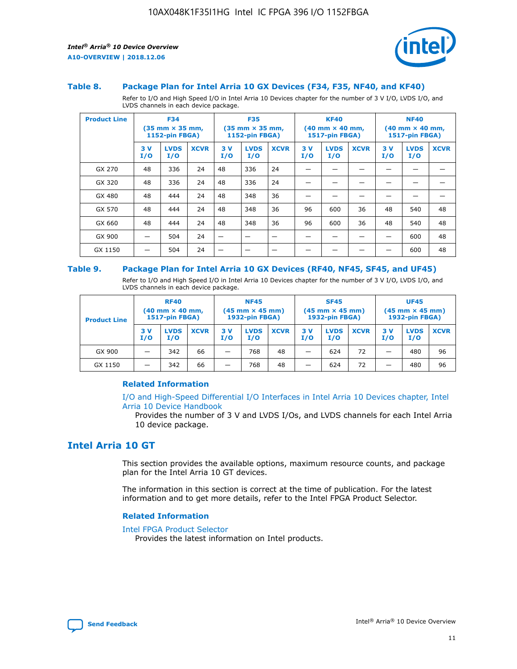

#### **Table 8. Package Plan for Intel Arria 10 GX Devices (F34, F35, NF40, and KF40)**

Refer to I/O and High Speed I/O in Intel Arria 10 Devices chapter for the number of 3 V I/O, LVDS I/O, and LVDS channels in each device package.

| <b>Product Line</b> | <b>F34</b><br>$(35 \text{ mm} \times 35 \text{ mm})$<br>1152-pin FBGA) |                    | <b>F35</b><br>$(35$ mm $\times$ 35 mm,<br><b>1152-pin FBGA)</b> |           | <b>KF40</b><br>$(40 \text{ mm} \times 40 \text{ mm})$<br>1517-pin FBGA) |             |           | <b>NF40</b><br>$(40 \text{ mm} \times 40 \text{ mm})$<br><b>1517-pin FBGA)</b> |             |            |                    |             |
|---------------------|------------------------------------------------------------------------|--------------------|-----------------------------------------------------------------|-----------|-------------------------------------------------------------------------|-------------|-----------|--------------------------------------------------------------------------------|-------------|------------|--------------------|-------------|
|                     | 3V<br>I/O                                                              | <b>LVDS</b><br>I/O | <b>XCVR</b>                                                     | 3V<br>I/O | <b>LVDS</b><br>I/O                                                      | <b>XCVR</b> | 3V<br>I/O | <b>LVDS</b><br>I/O                                                             | <b>XCVR</b> | 3 V<br>I/O | <b>LVDS</b><br>I/O | <b>XCVR</b> |
| GX 270              | 48                                                                     | 336                | 24                                                              | 48        | 336                                                                     | 24          |           |                                                                                |             |            |                    |             |
| GX 320              | 48                                                                     | 336                | 24                                                              | 48        | 336                                                                     | 24          |           |                                                                                |             |            |                    |             |
| GX 480              | 48                                                                     | 444                | 24                                                              | 48        | 348                                                                     | 36          |           |                                                                                |             |            |                    |             |
| GX 570              | 48                                                                     | 444                | 24                                                              | 48        | 348                                                                     | 36          | 96        | 600                                                                            | 36          | 48         | 540                | 48          |
| GX 660              | 48                                                                     | 444                | 24                                                              | 48        | 348                                                                     | 36          | 96        | 600                                                                            | 36          | 48         | 540                | 48          |
| GX 900              |                                                                        | 504                | 24                                                              | –         |                                                                         |             |           |                                                                                |             |            | 600                | 48          |
| GX 1150             |                                                                        | 504                | 24                                                              |           |                                                                         |             |           |                                                                                |             |            | 600                | 48          |

#### **Table 9. Package Plan for Intel Arria 10 GX Devices (RF40, NF45, SF45, and UF45)**

Refer to I/O and High Speed I/O in Intel Arria 10 Devices chapter for the number of 3 V I/O, LVDS I/O, and LVDS channels in each device package.

| <b>Product Line</b> | <b>RF40</b><br>$(40 \text{ mm} \times 40 \text{ mm})$<br>1517-pin FBGA) |                    | <b>NF45</b><br>$(45 \text{ mm} \times 45 \text{ mm})$<br><b>1932-pin FBGA)</b> |            |                    | <b>SF45</b><br>$(45 \text{ mm} \times 45 \text{ mm})$<br><b>1932-pin FBGA)</b> |            |                    | <b>UF45</b><br>$(45 \text{ mm} \times 45 \text{ mm})$<br>1932-pin FBGA) |           |                    |             |
|---------------------|-------------------------------------------------------------------------|--------------------|--------------------------------------------------------------------------------|------------|--------------------|--------------------------------------------------------------------------------|------------|--------------------|-------------------------------------------------------------------------|-----------|--------------------|-------------|
|                     | 3 V<br>I/O                                                              | <b>LVDS</b><br>I/O | <b>XCVR</b>                                                                    | 3 V<br>I/O | <b>LVDS</b><br>I/O | <b>XCVR</b>                                                                    | 3 V<br>I/O | <b>LVDS</b><br>I/O | <b>XCVR</b>                                                             | 3V<br>I/O | <b>LVDS</b><br>I/O | <b>XCVR</b> |
| GX 900              | _                                                                       | 342                | 66                                                                             | -          | 768                | 48                                                                             | -          | 624                | 72                                                                      | _         | 480                | 96          |
| GX 1150             |                                                                         | 342                | 66                                                                             | -          | 768                | 48                                                                             |            | 624                | 72                                                                      |           | 480                | 96          |

### **Related Information**

[I/O and High-Speed Differential I/O Interfaces in Intel Arria 10 Devices chapter, Intel](https://www.intel.com/content/www/us/en/programmable/documentation/sam1403482614086.html#sam1403482030321) [Arria 10 Device Handbook](https://www.intel.com/content/www/us/en/programmable/documentation/sam1403482614086.html#sam1403482030321)

Provides the number of 3 V and LVDS I/Os, and LVDS channels for each Intel Arria 10 device package.

### **Intel Arria 10 GT**

This section provides the available options, maximum resource counts, and package plan for the Intel Arria 10 GT devices.

The information in this section is correct at the time of publication. For the latest information and to get more details, refer to the Intel FPGA Product Selector.

#### **Related Information**

#### [Intel FPGA Product Selector](http://www.altera.com/products/selector/psg-selector.html)

Provides the latest information on Intel products.

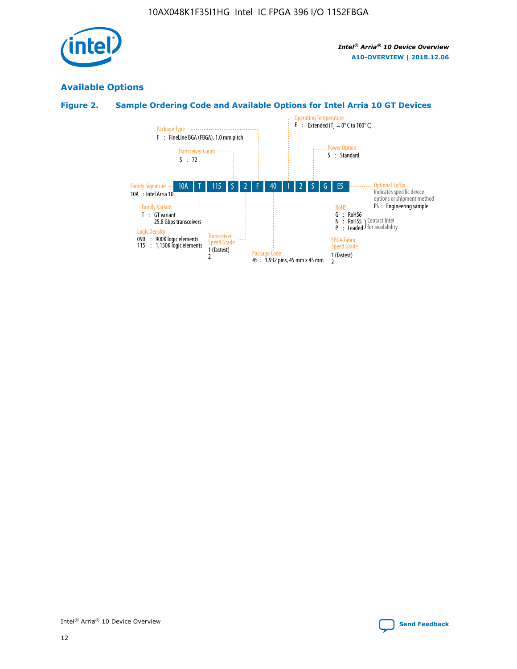

### **Available Options**

### **Figure 2. Sample Ordering Code and Available Options for Intel Arria 10 GT Devices**

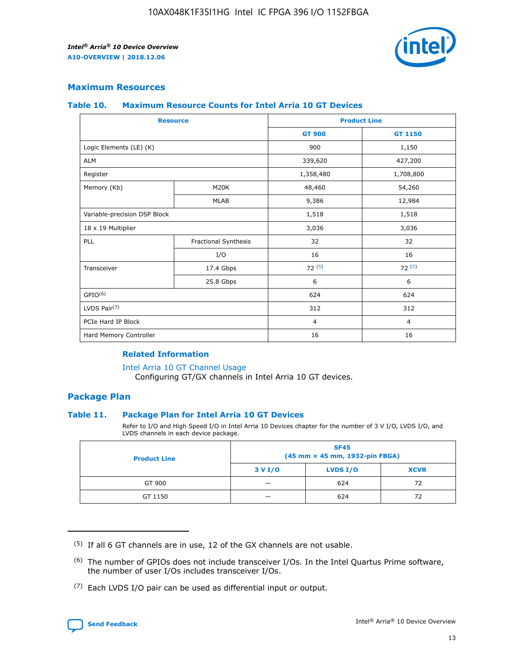

### **Maximum Resources**

#### **Table 10. Maximum Resource Counts for Intel Arria 10 GT Devices**

| <b>Resource</b>              |                      |                | <b>Product Line</b> |  |
|------------------------------|----------------------|----------------|---------------------|--|
|                              |                      | <b>GT 900</b>  | <b>GT 1150</b>      |  |
| Logic Elements (LE) (K)      |                      | 900            | 1,150               |  |
| <b>ALM</b>                   |                      | 339,620        | 427,200             |  |
| Register                     |                      | 1,358,480      | 1,708,800           |  |
| Memory (Kb)                  | M20K                 | 48,460         | 54,260              |  |
|                              | <b>MLAB</b>          | 9,386          | 12,984              |  |
| Variable-precision DSP Block |                      | 1,518          | 1,518               |  |
| 18 x 19 Multiplier           |                      | 3,036          | 3,036               |  |
| <b>PLL</b>                   | Fractional Synthesis | 32             | 32                  |  |
|                              | I/O                  | 16             | 16                  |  |
| Transceiver                  | 17.4 Gbps            | 72(5)          | 72(5)               |  |
|                              | 25.8 Gbps            | 6              | 6                   |  |
| GPIO <sup>(6)</sup>          |                      | 624            | 624                 |  |
| LVDS Pair $(7)$              |                      | 312            | 312                 |  |
| PCIe Hard IP Block           |                      | $\overline{4}$ | $\overline{4}$      |  |
| Hard Memory Controller       |                      | 16             | 16                  |  |

### **Related Information**

#### [Intel Arria 10 GT Channel Usage](https://www.intel.com/content/www/us/en/programmable/documentation/nik1398707230472.html#nik1398707008178)

Configuring GT/GX channels in Intel Arria 10 GT devices.

### **Package Plan**

### **Table 11. Package Plan for Intel Arria 10 GT Devices**

Refer to I/O and High Speed I/O in Intel Arria 10 Devices chapter for the number of 3 V I/O, LVDS I/O, and LVDS channels in each device package.

| <b>Product Line</b> | <b>SF45</b><br>(45 mm × 45 mm, 1932-pin FBGA) |                 |             |  |  |  |
|---------------------|-----------------------------------------------|-----------------|-------------|--|--|--|
|                     | 3 V I/O                                       | <b>LVDS I/O</b> | <b>XCVR</b> |  |  |  |
| GT 900              |                                               | 624             | 72          |  |  |  |
| GT 1150             |                                               | 624             | 72          |  |  |  |

<sup>(7)</sup> Each LVDS I/O pair can be used as differential input or output.



 $(5)$  If all 6 GT channels are in use, 12 of the GX channels are not usable.

<sup>(6)</sup> The number of GPIOs does not include transceiver I/Os. In the Intel Quartus Prime software, the number of user I/Os includes transceiver I/Os.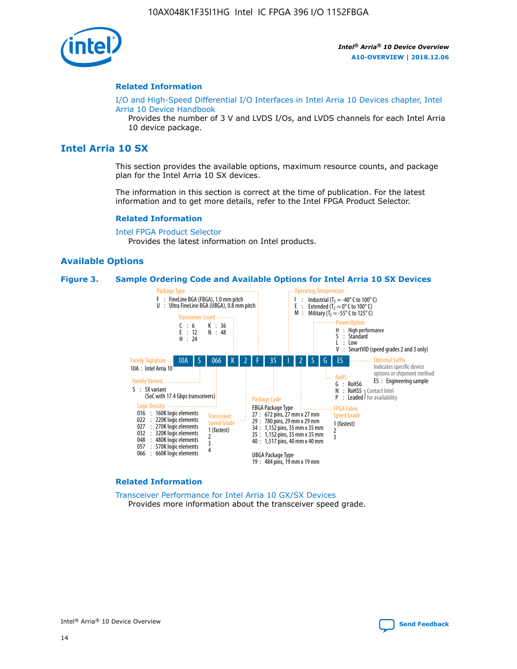

#### **Related Information**

[I/O and High-Speed Differential I/O Interfaces in Intel Arria 10 Devices chapter, Intel](https://www.intel.com/content/www/us/en/programmable/documentation/sam1403482614086.html#sam1403482030321) [Arria 10 Device Handbook](https://www.intel.com/content/www/us/en/programmable/documentation/sam1403482614086.html#sam1403482030321)

Provides the number of 3 V and LVDS I/Os, and LVDS channels for each Intel Arria 10 device package.

### **Intel Arria 10 SX**

This section provides the available options, maximum resource counts, and package plan for the Intel Arria 10 SX devices.

The information in this section is correct at the time of publication. For the latest information and to get more details, refer to the Intel FPGA Product Selector.

#### **Related Information**

[Intel FPGA Product Selector](http://www.altera.com/products/selector/psg-selector.html) Provides the latest information on Intel products.

### **Available Options**

#### **Figure 3. Sample Ordering Code and Available Options for Intel Arria 10 SX Devices**



#### **Related Information**

[Transceiver Performance for Intel Arria 10 GX/SX Devices](https://www.intel.com/content/www/us/en/programmable/documentation/mcn1413182292568.html#mcn1413213965502) Provides more information about the transceiver speed grade.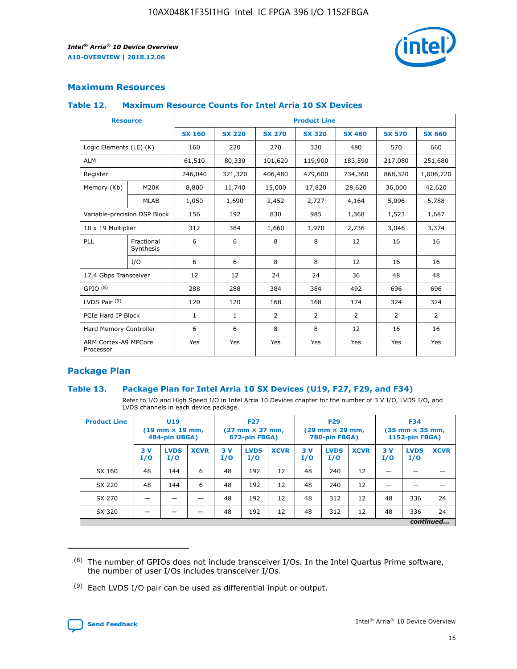

### **Maximum Resources**

#### **Table 12. Maximum Resource Counts for Intel Arria 10 SX Devices**

| <b>Resource</b>                   |                         | <b>Product Line</b> |               |                |                |                |                |                |  |  |  |
|-----------------------------------|-------------------------|---------------------|---------------|----------------|----------------|----------------|----------------|----------------|--|--|--|
|                                   |                         | <b>SX 160</b>       | <b>SX 220</b> | <b>SX 270</b>  | <b>SX 320</b>  | <b>SX 480</b>  | <b>SX 570</b>  | <b>SX 660</b>  |  |  |  |
| Logic Elements (LE) (K)           |                         | 160                 | 220           | 270            | 320            | 480            | 570            | 660            |  |  |  |
| <b>ALM</b>                        |                         | 61,510              | 80,330        | 101,620        | 119,900        | 183,590        | 217,080        | 251,680        |  |  |  |
| Register                          |                         | 246,040             | 321,320       | 406,480        | 479,600        | 734,360        | 868,320        | 1,006,720      |  |  |  |
| Memory (Kb)                       | M <sub>20</sub> K       | 8,800               | 11,740        | 15,000         | 17,820         | 28,620         | 36,000         | 42,620         |  |  |  |
|                                   | <b>MLAB</b>             | 1,050               | 1,690         | 2,452          | 2,727          | 4,164          | 5,096          | 5,788          |  |  |  |
| Variable-precision DSP Block      |                         | 156                 | 192           | 830            | 985            | 1,368          | 1,523          | 1,687          |  |  |  |
| 18 x 19 Multiplier                |                         | 312                 | 384           | 1,660          | 1,970          | 2,736          | 3,046          | 3,374          |  |  |  |
| PLL                               | Fractional<br>Synthesis | 6                   | 6             | 8              | 8              | 12             | 16             | 16             |  |  |  |
|                                   | I/O                     | 6                   | 6             | 8              | 8              | 12             | 16             | 16             |  |  |  |
| 17.4 Gbps Transceiver             |                         | 12                  | 12            | 24             | 24             | 36             | 48             | 48             |  |  |  |
| GPIO <sup>(8)</sup>               |                         | 288                 | 288           | 384            | 384            | 492            | 696            | 696            |  |  |  |
| LVDS Pair $(9)$                   |                         | 120                 | 120           | 168            | 168            | 174            | 324            | 324            |  |  |  |
| PCIe Hard IP Block                |                         | $\mathbf{1}$        | $\mathbf{1}$  | $\overline{2}$ | $\overline{2}$ | $\overline{2}$ | $\overline{2}$ | $\overline{2}$ |  |  |  |
| Hard Memory Controller            |                         | 6                   | 6             | 8              | 8              | 12             | 16             | 16             |  |  |  |
| ARM Cortex-A9 MPCore<br>Processor |                         | Yes                 | Yes           | Yes            | Yes            | Yes            | Yes            | <b>Yes</b>     |  |  |  |

### **Package Plan**

### **Table 13. Package Plan for Intel Arria 10 SX Devices (U19, F27, F29, and F34)**

Refer to I/O and High Speed I/O in Intel Arria 10 Devices chapter for the number of 3 V I/O, LVDS I/O, and LVDS channels in each device package.

| <b>Product Line</b> | <b>U19</b><br>$(19$ mm $\times$ 19 mm,<br>484-pin UBGA) |                    |             | <b>F27</b><br>$(27 \text{ mm} \times 27 \text{ mm})$<br>672-pin FBGA) |                    | <b>F29</b><br>$(29 \text{ mm} \times 29 \text{ mm})$<br>780-pin FBGA) |           |                    | <b>F34</b><br>$(35 \text{ mm} \times 35 \text{ mm})$<br><b>1152-pin FBGA)</b> |           |                    |             |
|---------------------|---------------------------------------------------------|--------------------|-------------|-----------------------------------------------------------------------|--------------------|-----------------------------------------------------------------------|-----------|--------------------|-------------------------------------------------------------------------------|-----------|--------------------|-------------|
|                     | 3V<br>I/O                                               | <b>LVDS</b><br>I/O | <b>XCVR</b> | 3V<br>I/O                                                             | <b>LVDS</b><br>I/O | <b>XCVR</b>                                                           | 3V<br>I/O | <b>LVDS</b><br>I/O | <b>XCVR</b>                                                                   | 3V<br>I/O | <b>LVDS</b><br>I/O | <b>XCVR</b> |
| SX 160              | 48                                                      | 144                | 6           | 48                                                                    | 192                | 12                                                                    | 48        | 240                | 12                                                                            | -         |                    |             |
| SX 220              | 48                                                      | 144                | 6           | 48                                                                    | 192                | 12                                                                    | 48        | 240                | 12                                                                            |           |                    |             |
| SX 270              |                                                         |                    |             | 48                                                                    | 192                | 12                                                                    | 48        | 312                | 12                                                                            | 48        | 336                | 24          |
| SX 320              |                                                         |                    |             | 48                                                                    | 192                | 12                                                                    | 48        | 312                | 12                                                                            | 48        | 336                | 24          |
|                     | continued                                               |                    |             |                                                                       |                    |                                                                       |           |                    |                                                                               |           |                    |             |

 $(8)$  The number of GPIOs does not include transceiver I/Os. In the Intel Quartus Prime software, the number of user I/Os includes transceiver I/Os.

 $(9)$  Each LVDS I/O pair can be used as differential input or output.

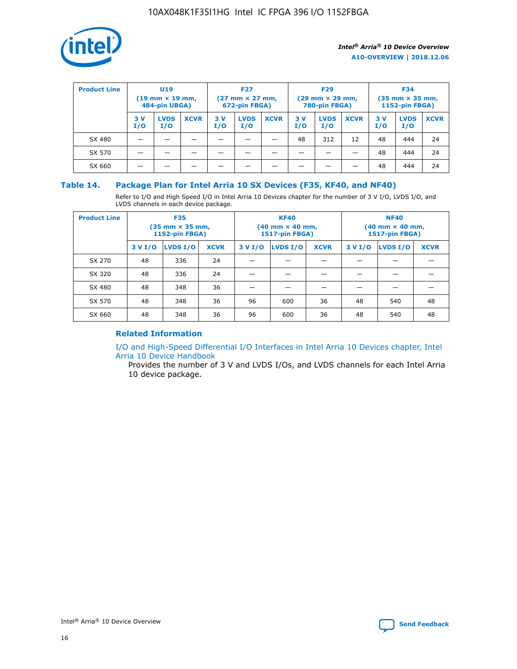

| <b>Product Line</b> | U <sub>19</sub><br>$(19 \text{ mm} \times 19 \text{ mm})$<br>484-pin UBGA) |                    | <b>F27</b><br>$(27 \text{ mm} \times 27 \text{ mm})$<br>672-pin FBGA) |           | <b>F29</b><br>$(29 \text{ mm} \times 29 \text{ mm})$<br>780-pin FBGA) |             |           | <b>F34</b><br>$(35$ mm $\times$ 35 mm,<br><b>1152-pin FBGA)</b> |             |           |                    |             |
|---------------------|----------------------------------------------------------------------------|--------------------|-----------------------------------------------------------------------|-----------|-----------------------------------------------------------------------|-------------|-----------|-----------------------------------------------------------------|-------------|-----------|--------------------|-------------|
|                     | 3V<br>I/O                                                                  | <b>LVDS</b><br>I/O | <b>XCVR</b>                                                           | 3V<br>I/O | <b>LVDS</b><br>I/O                                                    | <b>XCVR</b> | 3V<br>I/O | <b>LVDS</b><br>I/O                                              | <b>XCVR</b> | 3V<br>I/O | <b>LVDS</b><br>I/O | <b>XCVR</b> |
| SX 480              |                                                                            |                    |                                                                       |           |                                                                       |             | 48        | 312                                                             | 12          | 48        | 444                | 24          |
| SX 570              |                                                                            |                    |                                                                       |           |                                                                       |             |           |                                                                 |             | 48        | 444                | 24          |
| SX 660              |                                                                            |                    |                                                                       |           |                                                                       |             |           |                                                                 |             | 48        | 444                | 24          |

### **Table 14. Package Plan for Intel Arria 10 SX Devices (F35, KF40, and NF40)**

Refer to I/O and High Speed I/O in Intel Arria 10 Devices chapter for the number of 3 V I/O, LVDS I/O, and LVDS channels in each device package.

| <b>Product Line</b> | <b>F35</b><br>(35 mm × 35 mm,<br><b>1152-pin FBGA)</b> |          |             |                                           | <b>KF40</b><br>(40 mm × 40 mm,<br>1517-pin FBGA) |    | <b>NF40</b><br>$(40 \text{ mm} \times 40 \text{ mm})$<br><b>1517-pin FBGA)</b> |          |             |  |
|---------------------|--------------------------------------------------------|----------|-------------|-------------------------------------------|--------------------------------------------------|----|--------------------------------------------------------------------------------|----------|-------------|--|
|                     | 3 V I/O                                                | LVDS I/O | <b>XCVR</b> | <b>LVDS I/O</b><br><b>XCVR</b><br>3 V I/O |                                                  |    | 3 V I/O                                                                        | LVDS I/O | <b>XCVR</b> |  |
| SX 270              | 48                                                     | 336      | 24          |                                           |                                                  |    |                                                                                |          |             |  |
| SX 320              | 48                                                     | 336      | 24          |                                           |                                                  |    |                                                                                |          |             |  |
| SX 480              | 48                                                     | 348      | 36          |                                           |                                                  |    |                                                                                |          |             |  |
| SX 570              | 48                                                     | 348      | 36          | 96<br>36<br>600                           |                                                  |    | 48                                                                             | 540      | 48          |  |
| SX 660              | 48                                                     | 348      | 36          | 96                                        | 600                                              | 36 | 48                                                                             | 540      | 48          |  |

### **Related Information**

[I/O and High-Speed Differential I/O Interfaces in Intel Arria 10 Devices chapter, Intel](https://www.intel.com/content/www/us/en/programmable/documentation/sam1403482614086.html#sam1403482030321) [Arria 10 Device Handbook](https://www.intel.com/content/www/us/en/programmable/documentation/sam1403482614086.html#sam1403482030321)

Provides the number of 3 V and LVDS I/Os, and LVDS channels for each Intel Arria 10 device package.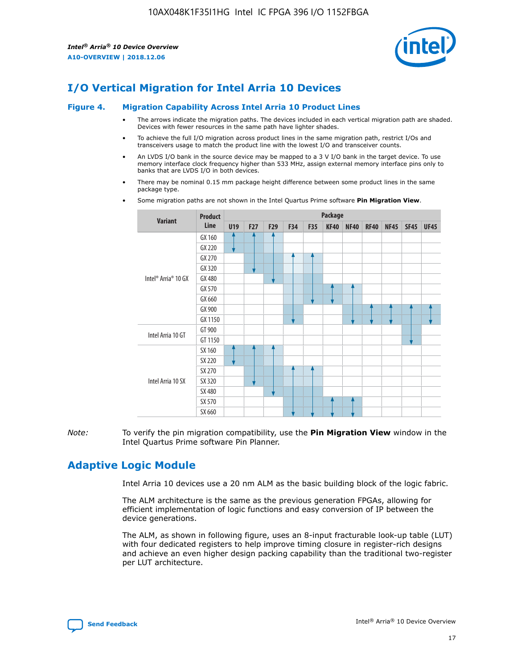

### **I/O Vertical Migration for Intel Arria 10 Devices**

#### **Figure 4. Migration Capability Across Intel Arria 10 Product Lines**

- The arrows indicate the migration paths. The devices included in each vertical migration path are shaded. Devices with fewer resources in the same path have lighter shades.
- To achieve the full I/O migration across product lines in the same migration path, restrict I/Os and transceivers usage to match the product line with the lowest I/O and transceiver counts.
- An LVDS I/O bank in the source device may be mapped to a 3 V I/O bank in the target device. To use memory interface clock frequency higher than 533 MHz, assign external memory interface pins only to banks that are LVDS I/O in both devices.
- There may be nominal 0.15 mm package height difference between some product lines in the same package type.
	- **Variant Product Line Package U19 F27 F29 F34 F35 KF40 NF40 RF40 NF45 SF45 UF45** Intel® Arria® 10 GX GX 160 GX 220 GX 270 GX 320 GX 480 GX 570 GX 660 GX 900 GX 1150 Intel Arria 10 GT GT 900 GT 1150 Intel Arria 10 SX SX 160 SX 220 SX 270 SX 320 SX 480 SX 570 SX 660
- Some migration paths are not shown in the Intel Quartus Prime software **Pin Migration View**.

*Note:* To verify the pin migration compatibility, use the **Pin Migration View** window in the Intel Quartus Prime software Pin Planner.

### **Adaptive Logic Module**

Intel Arria 10 devices use a 20 nm ALM as the basic building block of the logic fabric.

The ALM architecture is the same as the previous generation FPGAs, allowing for efficient implementation of logic functions and easy conversion of IP between the device generations.

The ALM, as shown in following figure, uses an 8-input fracturable look-up table (LUT) with four dedicated registers to help improve timing closure in register-rich designs and achieve an even higher design packing capability than the traditional two-register per LUT architecture.

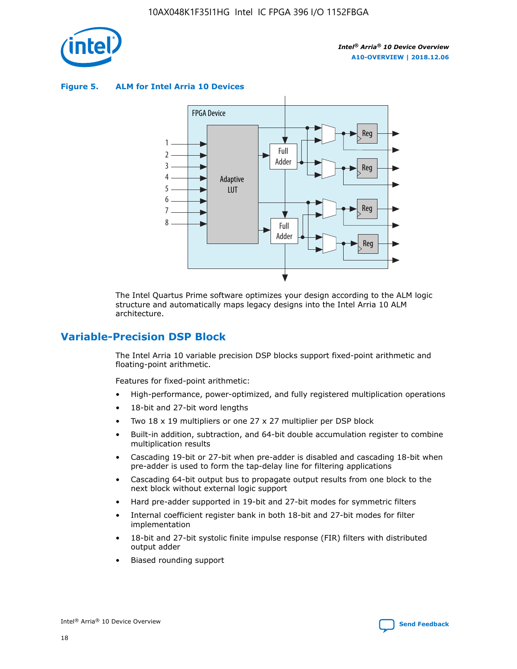

**Figure 5. ALM for Intel Arria 10 Devices**



The Intel Quartus Prime software optimizes your design according to the ALM logic structure and automatically maps legacy designs into the Intel Arria 10 ALM architecture.

### **Variable-Precision DSP Block**

The Intel Arria 10 variable precision DSP blocks support fixed-point arithmetic and floating-point arithmetic.

Features for fixed-point arithmetic:

- High-performance, power-optimized, and fully registered multiplication operations
- 18-bit and 27-bit word lengths
- Two 18 x 19 multipliers or one 27 x 27 multiplier per DSP block
- Built-in addition, subtraction, and 64-bit double accumulation register to combine multiplication results
- Cascading 19-bit or 27-bit when pre-adder is disabled and cascading 18-bit when pre-adder is used to form the tap-delay line for filtering applications
- Cascading 64-bit output bus to propagate output results from one block to the next block without external logic support
- Hard pre-adder supported in 19-bit and 27-bit modes for symmetric filters
- Internal coefficient register bank in both 18-bit and 27-bit modes for filter implementation
- 18-bit and 27-bit systolic finite impulse response (FIR) filters with distributed output adder
- Biased rounding support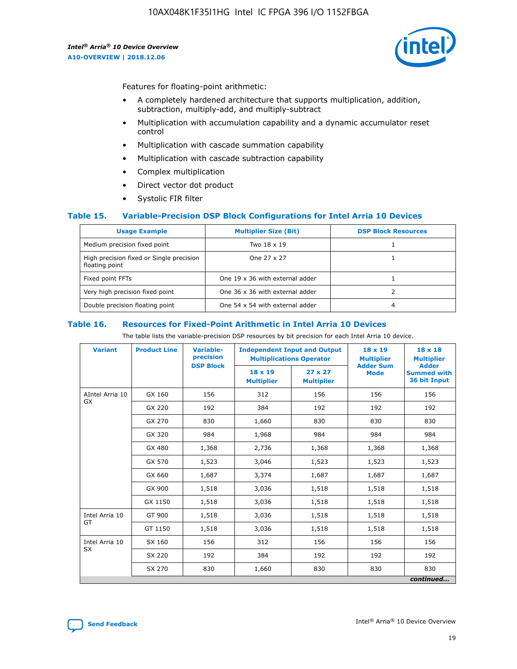

Features for floating-point arithmetic:

- A completely hardened architecture that supports multiplication, addition, subtraction, multiply-add, and multiply-subtract
- Multiplication with accumulation capability and a dynamic accumulator reset control
- Multiplication with cascade summation capability
- Multiplication with cascade subtraction capability
- Complex multiplication
- Direct vector dot product
- Systolic FIR filter

### **Table 15. Variable-Precision DSP Block Configurations for Intel Arria 10 Devices**

| <b>Usage Example</b>                                       | <b>Multiplier Size (Bit)</b>    | <b>DSP Block Resources</b> |
|------------------------------------------------------------|---------------------------------|----------------------------|
| Medium precision fixed point                               | Two 18 x 19                     |                            |
| High precision fixed or Single precision<br>floating point | One 27 x 27                     |                            |
| Fixed point FFTs                                           | One 19 x 36 with external adder |                            |
| Very high precision fixed point                            | One 36 x 36 with external adder |                            |
| Double precision floating point                            | One 54 x 54 with external adder | 4                          |

#### **Table 16. Resources for Fixed-Point Arithmetic in Intel Arria 10 Devices**

The table lists the variable-precision DSP resources by bit precision for each Intel Arria 10 device.

| <b>Variant</b>        | <b>Product Line</b> | <b>Variable-</b><br>precision<br><b>DSP Block</b> | <b>Independent Input and Output</b><br><b>Multiplications Operator</b> |                                     | 18 x 19<br><b>Multiplier</b><br><b>Adder Sum</b> | $18 \times 18$<br><b>Multiplier</b><br><b>Adder</b> |
|-----------------------|---------------------|---------------------------------------------------|------------------------------------------------------------------------|-------------------------------------|--------------------------------------------------|-----------------------------------------------------|
|                       |                     |                                                   | 18 x 19<br><b>Multiplier</b>                                           | $27 \times 27$<br><b>Multiplier</b> | <b>Mode</b>                                      | <b>Summed with</b><br>36 bit Input                  |
| AIntel Arria 10<br>GX | GX 160              | 156                                               | 312                                                                    | 156                                 | 156                                              | 156                                                 |
|                       | GX 220              | 192                                               | 384                                                                    | 192                                 | 192                                              | 192                                                 |
|                       | GX 270              | 830                                               | 1,660                                                                  | 830                                 | 830                                              | 830                                                 |
|                       | GX 320              | 984                                               | 1,968                                                                  | 984                                 | 984                                              | 984                                                 |
|                       | GX 480              | 1,368                                             | 2,736                                                                  | 1,368                               | 1,368                                            | 1,368                                               |
|                       | GX 570              | 1,523                                             | 3,046                                                                  | 1,523                               | 1,523                                            | 1,523                                               |
|                       | GX 660              | 1,687                                             | 3,374                                                                  | 1,687                               | 1,687                                            | 1,687                                               |
|                       | GX 900              | 1,518                                             | 3,036                                                                  | 1,518                               | 1,518                                            | 1,518                                               |
|                       | GX 1150             | 1,518                                             | 3,036                                                                  | 1,518                               | 1,518                                            | 1,518                                               |
| Intel Arria 10        | GT 900              | 1,518                                             | 3,036                                                                  | 1,518                               | 1,518                                            | 1,518                                               |
| GT                    | GT 1150             | 1,518                                             | 3,036                                                                  | 1,518                               | 1,518                                            | 1,518                                               |
| Intel Arria 10        | SX 160              | 156                                               | 312                                                                    | 156                                 | 156                                              | 156                                                 |
| <b>SX</b>             | SX 220              | 192                                               | 384                                                                    | 192                                 | 192                                              | 192                                                 |
|                       | SX 270              | 830                                               | 1,660                                                                  | 830                                 | 830                                              | 830                                                 |
|                       |                     |                                                   |                                                                        |                                     |                                                  | continued                                           |

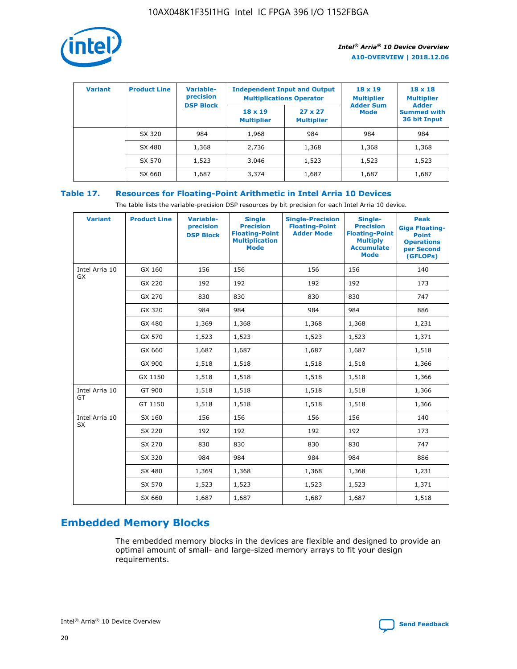

| <b>Variant</b> | <b>Product Line</b> | <b>Variable-</b><br>precision<br><b>DSP Block</b> | <b>Independent Input and Output</b><br><b>Multiplications Operator</b> |                                     | $18 \times 19$<br><b>Multiplier</b><br><b>Adder Sum</b> | $18 \times 18$<br><b>Multiplier</b><br><b>Adder</b> |  |
|----------------|---------------------|---------------------------------------------------|------------------------------------------------------------------------|-------------------------------------|---------------------------------------------------------|-----------------------------------------------------|--|
|                |                     |                                                   | $18 \times 19$<br><b>Multiplier</b>                                    | $27 \times 27$<br><b>Multiplier</b> | <b>Mode</b>                                             | <b>Summed with</b><br>36 bit Input                  |  |
|                | SX 320              | 984                                               | 1,968                                                                  | 984                                 | 984                                                     | 984                                                 |  |
|                | SX 480              | 1,368                                             | 2,736                                                                  | 1,368                               | 1,368                                                   | 1,368                                               |  |
|                | SX 570              | 1,523                                             | 3,046                                                                  | 1,523                               | 1,523                                                   | 1,523                                               |  |
|                | SX 660              | 1,687                                             | 3,374                                                                  | 1,687                               | 1,687                                                   | 1,687                                               |  |

### **Table 17. Resources for Floating-Point Arithmetic in Intel Arria 10 Devices**

The table lists the variable-precision DSP resources by bit precision for each Intel Arria 10 device.

| <b>Variant</b>              | <b>Product Line</b> | <b>Variable-</b><br>precision<br><b>DSP Block</b> | <b>Single</b><br><b>Precision</b><br><b>Floating-Point</b><br><b>Multiplication</b><br><b>Mode</b> | <b>Single-Precision</b><br><b>Floating-Point</b><br><b>Adder Mode</b> | Single-<br><b>Precision</b><br><b>Floating-Point</b><br><b>Multiply</b><br><b>Accumulate</b><br><b>Mode</b> | <b>Peak</b><br><b>Giga Floating-</b><br><b>Point</b><br><b>Operations</b><br>per Second<br>(GFLOPs) |
|-----------------------------|---------------------|---------------------------------------------------|----------------------------------------------------------------------------------------------------|-----------------------------------------------------------------------|-------------------------------------------------------------------------------------------------------------|-----------------------------------------------------------------------------------------------------|
| Intel Arria 10<br>GX        | GX 160              | 156                                               | 156                                                                                                | 156                                                                   | 156                                                                                                         | 140                                                                                                 |
|                             | GX 220              | 192                                               | 192                                                                                                | 192                                                                   | 192                                                                                                         | 173                                                                                                 |
|                             | GX 270              | 830                                               | 830                                                                                                | 830                                                                   | 830                                                                                                         | 747                                                                                                 |
|                             | GX 320              | 984                                               | 984                                                                                                | 984                                                                   | 984                                                                                                         | 886                                                                                                 |
|                             | GX 480              | 1,369                                             | 1,368                                                                                              | 1,368                                                                 | 1,368                                                                                                       | 1,231                                                                                               |
|                             | GX 570              | 1,523                                             | 1,523                                                                                              | 1,523                                                                 | 1,523                                                                                                       | 1,371                                                                                               |
|                             | GX 660              | 1,687                                             | 1,687                                                                                              | 1,687                                                                 | 1,687                                                                                                       | 1,518                                                                                               |
|                             | GX 900              | 1,518                                             | 1,518                                                                                              | 1,518                                                                 | 1,518                                                                                                       | 1,366                                                                                               |
|                             | GX 1150             | 1,518                                             | 1,518                                                                                              | 1,518                                                                 | 1,518                                                                                                       | 1,366                                                                                               |
| Intel Arria 10              | GT 900              | 1,518                                             | 1,518                                                                                              | 1,518                                                                 | 1,518                                                                                                       | 1,366                                                                                               |
| GT                          | GT 1150             | 1,518                                             | 1,518                                                                                              | 1,518                                                                 | 1,518                                                                                                       | 1,366                                                                                               |
| Intel Arria 10<br><b>SX</b> | SX 160              | 156                                               | 156                                                                                                | 156                                                                   | 156                                                                                                         | 140                                                                                                 |
|                             | SX 220              | 192                                               | 192                                                                                                | 192                                                                   | 192                                                                                                         | 173                                                                                                 |
|                             | SX 270              | 830                                               | 830                                                                                                | 830                                                                   | 830                                                                                                         | 747                                                                                                 |
|                             | SX 320              | 984                                               | 984                                                                                                | 984                                                                   | 984                                                                                                         | 886                                                                                                 |
|                             | SX 480              | 1,369                                             | 1,368                                                                                              | 1,368                                                                 | 1,368                                                                                                       | 1,231                                                                                               |
|                             | SX 570              | 1,523                                             | 1,523                                                                                              | 1,523                                                                 | 1,523                                                                                                       | 1,371                                                                                               |
|                             | SX 660              | 1,687                                             | 1,687                                                                                              | 1,687                                                                 | 1,687                                                                                                       | 1,518                                                                                               |

## **Embedded Memory Blocks**

The embedded memory blocks in the devices are flexible and designed to provide an optimal amount of small- and large-sized memory arrays to fit your design requirements.

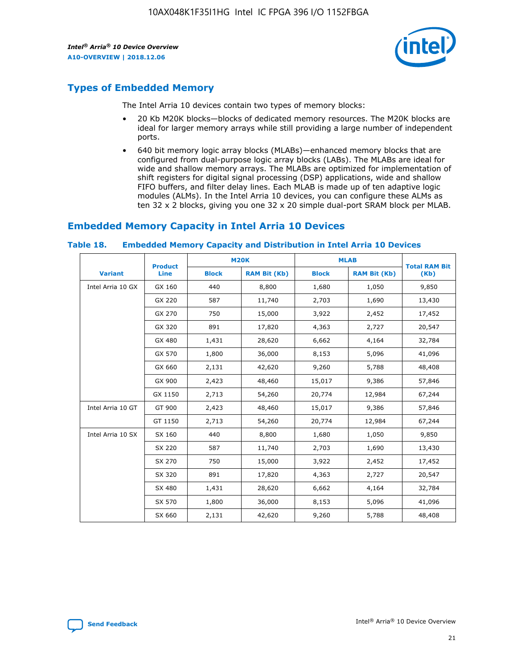

### **Types of Embedded Memory**

The Intel Arria 10 devices contain two types of memory blocks:

- 20 Kb M20K blocks—blocks of dedicated memory resources. The M20K blocks are ideal for larger memory arrays while still providing a large number of independent ports.
- 640 bit memory logic array blocks (MLABs)—enhanced memory blocks that are configured from dual-purpose logic array blocks (LABs). The MLABs are ideal for wide and shallow memory arrays. The MLABs are optimized for implementation of shift registers for digital signal processing (DSP) applications, wide and shallow FIFO buffers, and filter delay lines. Each MLAB is made up of ten adaptive logic modules (ALMs). In the Intel Arria 10 devices, you can configure these ALMs as ten 32 x 2 blocks, giving you one 32 x 20 simple dual-port SRAM block per MLAB.

### **Embedded Memory Capacity in Intel Arria 10 Devices**

|                   | <b>Product</b> |              | <b>M20K</b>         | <b>MLAB</b>  |                     | <b>Total RAM Bit</b> |
|-------------------|----------------|--------------|---------------------|--------------|---------------------|----------------------|
| <b>Variant</b>    | <b>Line</b>    | <b>Block</b> | <b>RAM Bit (Kb)</b> | <b>Block</b> | <b>RAM Bit (Kb)</b> | (Kb)                 |
| Intel Arria 10 GX | GX 160         | 440          | 8,800               | 1,680        | 1,050               | 9,850                |
|                   | GX 220         | 587          | 11,740              | 2,703        | 1,690               | 13,430               |
|                   | GX 270         | 750          | 15,000              | 3,922        | 2,452               | 17,452               |
|                   | GX 320         | 891          | 17,820              | 4,363        | 2,727               | 20,547               |
|                   | GX 480         | 1,431        | 28,620              | 6,662        | 4,164               | 32,784               |
|                   | GX 570         | 1,800        | 36,000              | 8,153        | 5,096               | 41,096               |
|                   | GX 660         | 2,131        | 42,620              | 9,260        | 5,788               | 48,408               |
|                   | GX 900         | 2,423        | 48,460              | 15,017       | 9,386               | 57,846               |
|                   | GX 1150        | 2,713        | 54,260              | 20,774       | 12,984              | 67,244               |
| Intel Arria 10 GT | GT 900         | 2,423        | 48,460              | 15,017       | 9,386               | 57,846               |
|                   | GT 1150        | 2,713        | 54,260              | 20,774       | 12,984              | 67,244               |
| Intel Arria 10 SX | SX 160         | 440          | 8,800               | 1,680        | 1,050               | 9,850                |
|                   | SX 220         | 587          | 11,740              | 2,703        | 1,690               | 13,430               |
|                   | SX 270         | 750          | 15,000              | 3,922        | 2,452               | 17,452               |
|                   | SX 320         | 891          | 17,820              | 4,363        | 2,727               | 20,547               |
|                   | SX 480         | 1,431        | 28,620              | 6,662        | 4,164               | 32,784               |
|                   | SX 570         | 1,800        | 36,000              | 8,153        | 5,096               | 41,096               |
|                   | SX 660         | 2,131        | 42,620              | 9,260        | 5,788               | 48,408               |

#### **Table 18. Embedded Memory Capacity and Distribution in Intel Arria 10 Devices**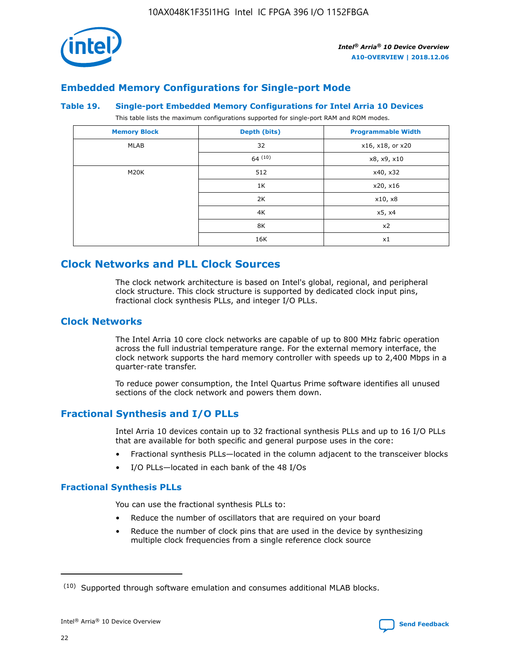

### **Embedded Memory Configurations for Single-port Mode**

#### **Table 19. Single-port Embedded Memory Configurations for Intel Arria 10 Devices**

This table lists the maximum configurations supported for single-port RAM and ROM modes.

| <b>Memory Block</b> | Depth (bits)           | <b>Programmable Width</b> |
|---------------------|------------------------|---------------------------|
| MLAB                | 32<br>x16, x18, or x20 |                           |
|                     | 64(10)                 | x8, x9, x10               |
| M20K                | 512                    | x40, x32                  |
|                     | 1K                     | x20, x16                  |
|                     | 2K                     | x10, x8                   |
|                     | 4K                     | x5, x4                    |
|                     | 8K                     | x2                        |
|                     | 16K                    | x1                        |

### **Clock Networks and PLL Clock Sources**

The clock network architecture is based on Intel's global, regional, and peripheral clock structure. This clock structure is supported by dedicated clock input pins, fractional clock synthesis PLLs, and integer I/O PLLs.

### **Clock Networks**

The Intel Arria 10 core clock networks are capable of up to 800 MHz fabric operation across the full industrial temperature range. For the external memory interface, the clock network supports the hard memory controller with speeds up to 2,400 Mbps in a quarter-rate transfer.

To reduce power consumption, the Intel Quartus Prime software identifies all unused sections of the clock network and powers them down.

### **Fractional Synthesis and I/O PLLs**

Intel Arria 10 devices contain up to 32 fractional synthesis PLLs and up to 16 I/O PLLs that are available for both specific and general purpose uses in the core:

- Fractional synthesis PLLs—located in the column adjacent to the transceiver blocks
- I/O PLLs—located in each bank of the 48 I/Os

### **Fractional Synthesis PLLs**

You can use the fractional synthesis PLLs to:

- Reduce the number of oscillators that are required on your board
- Reduce the number of clock pins that are used in the device by synthesizing multiple clock frequencies from a single reference clock source

<sup>(10)</sup> Supported through software emulation and consumes additional MLAB blocks.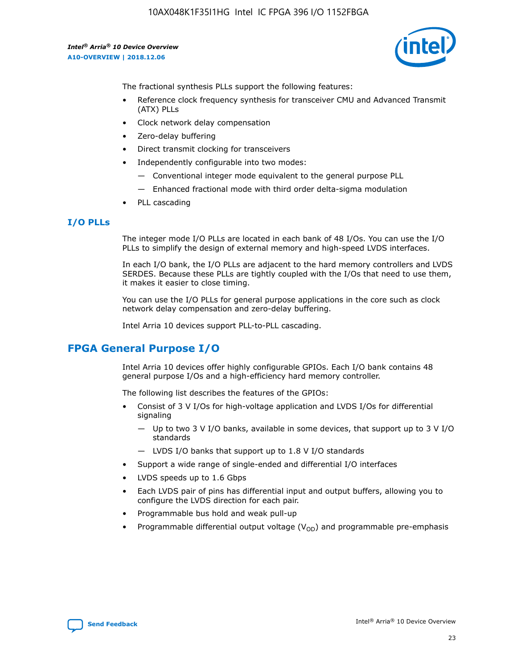

The fractional synthesis PLLs support the following features:

- Reference clock frequency synthesis for transceiver CMU and Advanced Transmit (ATX) PLLs
- Clock network delay compensation
- Zero-delay buffering
- Direct transmit clocking for transceivers
- Independently configurable into two modes:
	- Conventional integer mode equivalent to the general purpose PLL
	- Enhanced fractional mode with third order delta-sigma modulation
- PLL cascading

### **I/O PLLs**

The integer mode I/O PLLs are located in each bank of 48 I/Os. You can use the I/O PLLs to simplify the design of external memory and high-speed LVDS interfaces.

In each I/O bank, the I/O PLLs are adjacent to the hard memory controllers and LVDS SERDES. Because these PLLs are tightly coupled with the I/Os that need to use them, it makes it easier to close timing.

You can use the I/O PLLs for general purpose applications in the core such as clock network delay compensation and zero-delay buffering.

Intel Arria 10 devices support PLL-to-PLL cascading.

### **FPGA General Purpose I/O**

Intel Arria 10 devices offer highly configurable GPIOs. Each I/O bank contains 48 general purpose I/Os and a high-efficiency hard memory controller.

The following list describes the features of the GPIOs:

- Consist of 3 V I/Os for high-voltage application and LVDS I/Os for differential signaling
	- Up to two 3 V I/O banks, available in some devices, that support up to 3 V I/O standards
	- LVDS I/O banks that support up to 1.8 V I/O standards
- Support a wide range of single-ended and differential I/O interfaces
- LVDS speeds up to 1.6 Gbps
- Each LVDS pair of pins has differential input and output buffers, allowing you to configure the LVDS direction for each pair.
- Programmable bus hold and weak pull-up
- Programmable differential output voltage  $(V_{OD})$  and programmable pre-emphasis

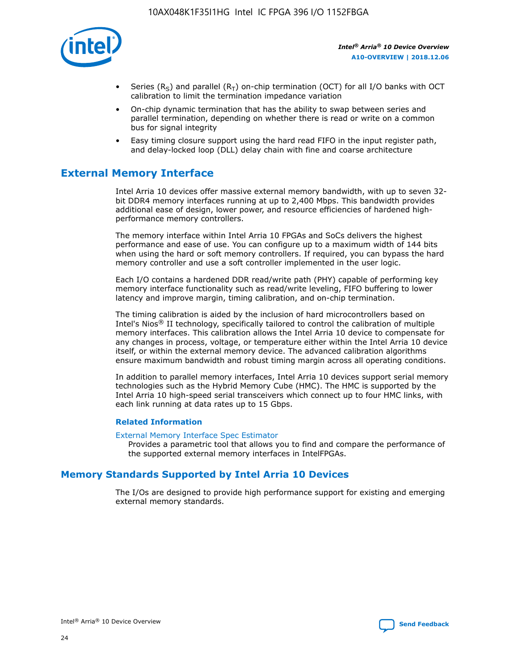

- Series (R<sub>S</sub>) and parallel (R<sub>T</sub>) on-chip termination (OCT) for all I/O banks with OCT calibration to limit the termination impedance variation
- On-chip dynamic termination that has the ability to swap between series and parallel termination, depending on whether there is read or write on a common bus for signal integrity
- Easy timing closure support using the hard read FIFO in the input register path, and delay-locked loop (DLL) delay chain with fine and coarse architecture

### **External Memory Interface**

Intel Arria 10 devices offer massive external memory bandwidth, with up to seven 32 bit DDR4 memory interfaces running at up to 2,400 Mbps. This bandwidth provides additional ease of design, lower power, and resource efficiencies of hardened highperformance memory controllers.

The memory interface within Intel Arria 10 FPGAs and SoCs delivers the highest performance and ease of use. You can configure up to a maximum width of 144 bits when using the hard or soft memory controllers. If required, you can bypass the hard memory controller and use a soft controller implemented in the user logic.

Each I/O contains a hardened DDR read/write path (PHY) capable of performing key memory interface functionality such as read/write leveling, FIFO buffering to lower latency and improve margin, timing calibration, and on-chip termination.

The timing calibration is aided by the inclusion of hard microcontrollers based on Intel's Nios® II technology, specifically tailored to control the calibration of multiple memory interfaces. This calibration allows the Intel Arria 10 device to compensate for any changes in process, voltage, or temperature either within the Intel Arria 10 device itself, or within the external memory device. The advanced calibration algorithms ensure maximum bandwidth and robust timing margin across all operating conditions.

In addition to parallel memory interfaces, Intel Arria 10 devices support serial memory technologies such as the Hybrid Memory Cube (HMC). The HMC is supported by the Intel Arria 10 high-speed serial transceivers which connect up to four HMC links, with each link running at data rates up to 15 Gbps.

### **Related Information**

#### [External Memory Interface Spec Estimator](http://www.altera.com/technology/memory/estimator/mem-emif-index.html)

Provides a parametric tool that allows you to find and compare the performance of the supported external memory interfaces in IntelFPGAs.

### **Memory Standards Supported by Intel Arria 10 Devices**

The I/Os are designed to provide high performance support for existing and emerging external memory standards.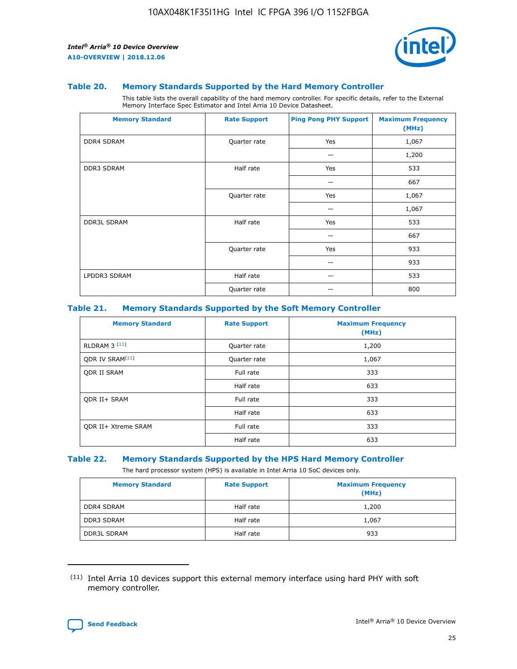

#### **Table 20. Memory Standards Supported by the Hard Memory Controller**

This table lists the overall capability of the hard memory controller. For specific details, refer to the External Memory Interface Spec Estimator and Intel Arria 10 Device Datasheet.

| <b>Memory Standard</b> | <b>Rate Support</b> | <b>Ping Pong PHY Support</b> | <b>Maximum Frequency</b><br>(MHz) |
|------------------------|---------------------|------------------------------|-----------------------------------|
| <b>DDR4 SDRAM</b>      | Quarter rate        | Yes                          | 1,067                             |
|                        |                     |                              | 1,200                             |
| DDR3 SDRAM             | Half rate           | Yes                          | 533                               |
|                        |                     |                              | 667                               |
|                        | Quarter rate        | Yes                          | 1,067                             |
|                        |                     |                              | 1,067                             |
| <b>DDR3L SDRAM</b>     | Half rate           | Yes                          | 533                               |
|                        |                     |                              | 667                               |
|                        | Quarter rate        | Yes                          | 933                               |
|                        |                     |                              | 933                               |
| LPDDR3 SDRAM           | Half rate           |                              | 533                               |
|                        | Quarter rate        |                              | 800                               |

#### **Table 21. Memory Standards Supported by the Soft Memory Controller**

| <b>Memory Standard</b>      | <b>Rate Support</b> | <b>Maximum Frequency</b><br>(MHz) |
|-----------------------------|---------------------|-----------------------------------|
| <b>RLDRAM 3 (11)</b>        | Quarter rate        | 1,200                             |
| ODR IV SRAM <sup>(11)</sup> | Quarter rate        | 1,067                             |
| <b>ODR II SRAM</b>          | Full rate           | 333                               |
|                             | Half rate           | 633                               |
| <b>ODR II+ SRAM</b>         | Full rate           | 333                               |
|                             | Half rate           | 633                               |
| <b>ODR II+ Xtreme SRAM</b>  | Full rate           | 333                               |
|                             | Half rate           | 633                               |

#### **Table 22. Memory Standards Supported by the HPS Hard Memory Controller**

The hard processor system (HPS) is available in Intel Arria 10 SoC devices only.

| <b>Memory Standard</b> | <b>Rate Support</b> | <b>Maximum Frequency</b><br>(MHz) |
|------------------------|---------------------|-----------------------------------|
| <b>DDR4 SDRAM</b>      | Half rate           | 1,200                             |
| <b>DDR3 SDRAM</b>      | Half rate           | 1,067                             |
| <b>DDR3L SDRAM</b>     | Half rate           | 933                               |

<sup>(11)</sup> Intel Arria 10 devices support this external memory interface using hard PHY with soft memory controller.

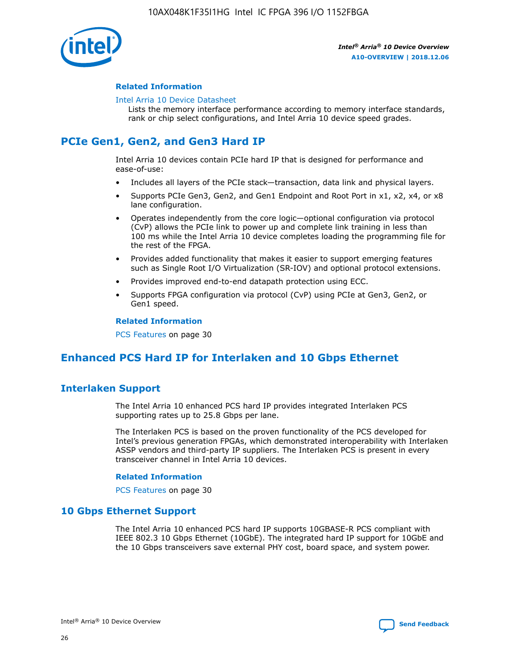

### **Related Information**

#### [Intel Arria 10 Device Datasheet](https://www.intel.com/content/www/us/en/programmable/documentation/mcn1413182292568.html#mcn1413182153340)

Lists the memory interface performance according to memory interface standards, rank or chip select configurations, and Intel Arria 10 device speed grades.

### **PCIe Gen1, Gen2, and Gen3 Hard IP**

Intel Arria 10 devices contain PCIe hard IP that is designed for performance and ease-of-use:

- Includes all layers of the PCIe stack—transaction, data link and physical layers.
- Supports PCIe Gen3, Gen2, and Gen1 Endpoint and Root Port in x1, x2, x4, or x8 lane configuration.
- Operates independently from the core logic—optional configuration via protocol (CvP) allows the PCIe link to power up and complete link training in less than 100 ms while the Intel Arria 10 device completes loading the programming file for the rest of the FPGA.
- Provides added functionality that makes it easier to support emerging features such as Single Root I/O Virtualization (SR-IOV) and optional protocol extensions.
- Provides improved end-to-end datapath protection using ECC.
- Supports FPGA configuration via protocol (CvP) using PCIe at Gen3, Gen2, or Gen1 speed.

#### **Related Information**

PCS Features on page 30

### **Enhanced PCS Hard IP for Interlaken and 10 Gbps Ethernet**

### **Interlaken Support**

The Intel Arria 10 enhanced PCS hard IP provides integrated Interlaken PCS supporting rates up to 25.8 Gbps per lane.

The Interlaken PCS is based on the proven functionality of the PCS developed for Intel's previous generation FPGAs, which demonstrated interoperability with Interlaken ASSP vendors and third-party IP suppliers. The Interlaken PCS is present in every transceiver channel in Intel Arria 10 devices.

### **Related Information**

PCS Features on page 30

### **10 Gbps Ethernet Support**

The Intel Arria 10 enhanced PCS hard IP supports 10GBASE-R PCS compliant with IEEE 802.3 10 Gbps Ethernet (10GbE). The integrated hard IP support for 10GbE and the 10 Gbps transceivers save external PHY cost, board space, and system power.

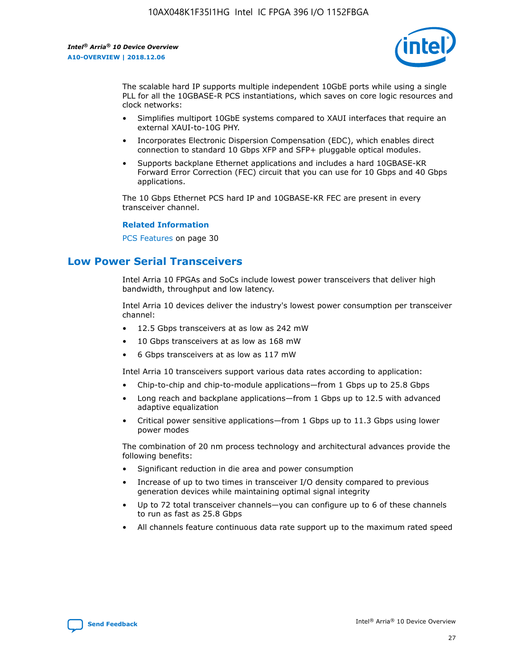

The scalable hard IP supports multiple independent 10GbE ports while using a single PLL for all the 10GBASE-R PCS instantiations, which saves on core logic resources and clock networks:

- Simplifies multiport 10GbE systems compared to XAUI interfaces that require an external XAUI-to-10G PHY.
- Incorporates Electronic Dispersion Compensation (EDC), which enables direct connection to standard 10 Gbps XFP and SFP+ pluggable optical modules.
- Supports backplane Ethernet applications and includes a hard 10GBASE-KR Forward Error Correction (FEC) circuit that you can use for 10 Gbps and 40 Gbps applications.

The 10 Gbps Ethernet PCS hard IP and 10GBASE-KR FEC are present in every transceiver channel.

#### **Related Information**

PCS Features on page 30

### **Low Power Serial Transceivers**

Intel Arria 10 FPGAs and SoCs include lowest power transceivers that deliver high bandwidth, throughput and low latency.

Intel Arria 10 devices deliver the industry's lowest power consumption per transceiver channel:

- 12.5 Gbps transceivers at as low as 242 mW
- 10 Gbps transceivers at as low as 168 mW
- 6 Gbps transceivers at as low as 117 mW

Intel Arria 10 transceivers support various data rates according to application:

- Chip-to-chip and chip-to-module applications—from 1 Gbps up to 25.8 Gbps
- Long reach and backplane applications—from 1 Gbps up to 12.5 with advanced adaptive equalization
- Critical power sensitive applications—from 1 Gbps up to 11.3 Gbps using lower power modes

The combination of 20 nm process technology and architectural advances provide the following benefits:

- Significant reduction in die area and power consumption
- Increase of up to two times in transceiver I/O density compared to previous generation devices while maintaining optimal signal integrity
- Up to 72 total transceiver channels—you can configure up to 6 of these channels to run as fast as 25.8 Gbps
- All channels feature continuous data rate support up to the maximum rated speed

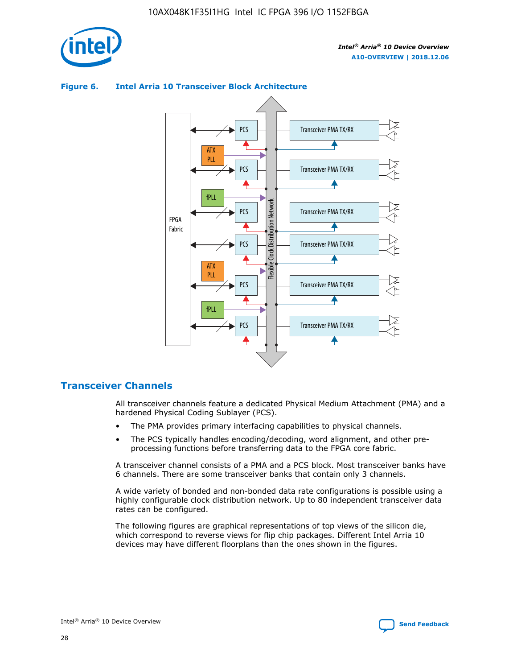

### **Figure 6. Intel Arria 10 Transceiver Block Architecture**



### **Transceiver Channels**

All transceiver channels feature a dedicated Physical Medium Attachment (PMA) and a hardened Physical Coding Sublayer (PCS).

- The PMA provides primary interfacing capabilities to physical channels.
- The PCS typically handles encoding/decoding, word alignment, and other preprocessing functions before transferring data to the FPGA core fabric.

A transceiver channel consists of a PMA and a PCS block. Most transceiver banks have 6 channels. There are some transceiver banks that contain only 3 channels.

A wide variety of bonded and non-bonded data rate configurations is possible using a highly configurable clock distribution network. Up to 80 independent transceiver data rates can be configured.

The following figures are graphical representations of top views of the silicon die, which correspond to reverse views for flip chip packages. Different Intel Arria 10 devices may have different floorplans than the ones shown in the figures.

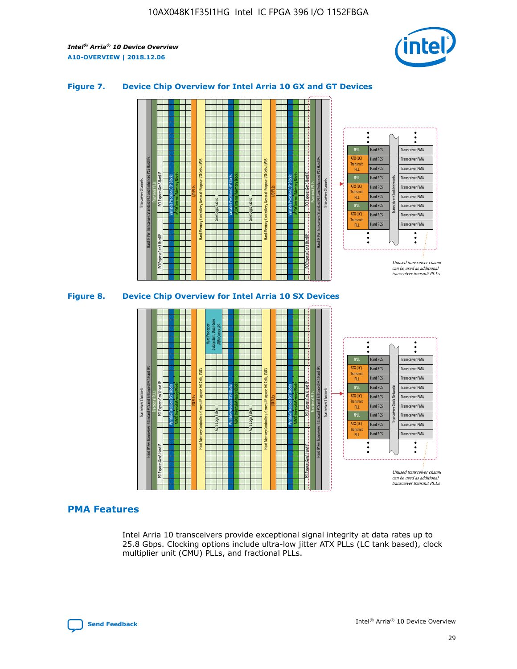

### **Figure 7. Device Chip Overview for Intel Arria 10 GX and GT Devices**



M20K Internal Memory Blocks Core Logic Fabric Transceiver Channels Hard IP Per Transceiver: Standard PCS and Enhanced PCS Hard IPs PCI Express Gen3 Hard IP Fractional PLLs M20K Internal Memory Blocks PCI Express Gen3 Hard IP Variable Precision DSP Blocks I/O PLLs Hard Memory Controllers, General-Purpose I/O Cells, LVDS Hard Processor Subsystem, Dual-Core ARM Cortex A9 M20K Internal Memory Blocks Variable Precision DSP Blocks M20K Internal Memory Blocks Core Logic Fabric I/O PLLs Hard Memory Controllers, General-Purpose I/O Cells, LVDS M20K Internal Memory Blocks Variable Precision DSP Blocks M20K Internal Memory Blocks Transceiver Channels Hard IP Per Transceiver: Standard PCS and Enhanced PCS Hard IPs PCI Express Gen3 Hard IP Fractional PLLs PCI Express Gen3 Hard IP Hard PCS Hard PCS Hard PCS Hard PCS Hard PCS Hard PCS Hard PCS Hard PCS Hard PCS Transceiver PMA Transceiver PMA Transceiver PMA Transceiver PMA Transceiver PMA Transceiver PMA Transceiver PMA Unused transceiver chann can be used as additional transceiver transmit PLLs Transceiver PMA Transceiver PMA Transceiver Clock Networks ATX (LC) **Transmit** PLL fPLL ATX (LC) Transmi PLL fPLL ATX (LC) **Transmit** PLL

### **PMA Features**

Intel Arria 10 transceivers provide exceptional signal integrity at data rates up to 25.8 Gbps. Clocking options include ultra-low jitter ATX PLLs (LC tank based), clock multiplier unit (CMU) PLLs, and fractional PLLs.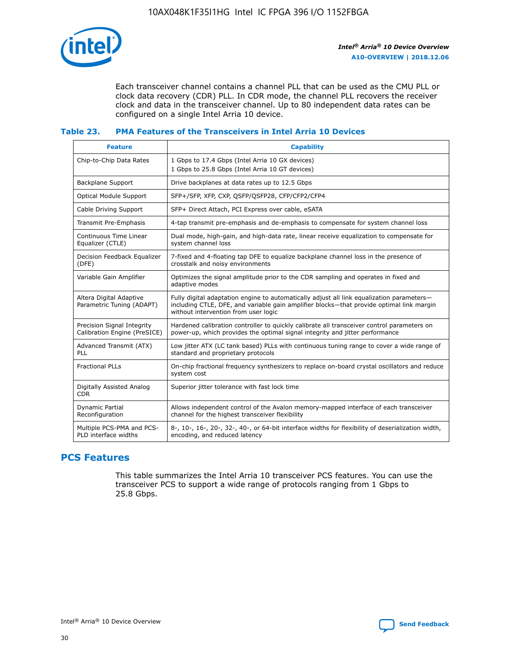

Each transceiver channel contains a channel PLL that can be used as the CMU PLL or clock data recovery (CDR) PLL. In CDR mode, the channel PLL recovers the receiver clock and data in the transceiver channel. Up to 80 independent data rates can be configured on a single Intel Arria 10 device.

### **Table 23. PMA Features of the Transceivers in Intel Arria 10 Devices**

| <b>Feature</b>                                             | <b>Capability</b>                                                                                                                                                                                                             |
|------------------------------------------------------------|-------------------------------------------------------------------------------------------------------------------------------------------------------------------------------------------------------------------------------|
| Chip-to-Chip Data Rates                                    | 1 Gbps to 17.4 Gbps (Intel Arria 10 GX devices)<br>1 Gbps to 25.8 Gbps (Intel Arria 10 GT devices)                                                                                                                            |
| <b>Backplane Support</b>                                   | Drive backplanes at data rates up to 12.5 Gbps                                                                                                                                                                                |
| <b>Optical Module Support</b>                              | SFP+/SFP, XFP, CXP, QSFP/QSFP28, CFP/CFP2/CFP4                                                                                                                                                                                |
| Cable Driving Support                                      | SFP+ Direct Attach, PCI Express over cable, eSATA                                                                                                                                                                             |
| Transmit Pre-Emphasis                                      | 4-tap transmit pre-emphasis and de-emphasis to compensate for system channel loss                                                                                                                                             |
| Continuous Time Linear<br>Equalizer (CTLE)                 | Dual mode, high-gain, and high-data rate, linear receive equalization to compensate for<br>system channel loss                                                                                                                |
| Decision Feedback Equalizer<br>(DFE)                       | 7-fixed and 4-floating tap DFE to equalize backplane channel loss in the presence of<br>crosstalk and noisy environments                                                                                                      |
| Variable Gain Amplifier                                    | Optimizes the signal amplitude prior to the CDR sampling and operates in fixed and<br>adaptive modes                                                                                                                          |
| Altera Digital Adaptive<br>Parametric Tuning (ADAPT)       | Fully digital adaptation engine to automatically adjust all link equalization parameters-<br>including CTLE, DFE, and variable gain amplifier blocks—that provide optimal link margin<br>without intervention from user logic |
| Precision Signal Integrity<br>Calibration Engine (PreSICE) | Hardened calibration controller to quickly calibrate all transceiver control parameters on<br>power-up, which provides the optimal signal integrity and jitter performance                                                    |
| Advanced Transmit (ATX)<br>PLL                             | Low jitter ATX (LC tank based) PLLs with continuous tuning range to cover a wide range of<br>standard and proprietary protocols                                                                                               |
| <b>Fractional PLLs</b>                                     | On-chip fractional frequency synthesizers to replace on-board crystal oscillators and reduce<br>system cost                                                                                                                   |
| Digitally Assisted Analog<br><b>CDR</b>                    | Superior jitter tolerance with fast lock time                                                                                                                                                                                 |
| Dynamic Partial<br>Reconfiguration                         | Allows independent control of the Avalon memory-mapped interface of each transceiver<br>channel for the highest transceiver flexibility                                                                                       |
| Multiple PCS-PMA and PCS-<br>PLD interface widths          | 8-, 10-, 16-, 20-, 32-, 40-, or 64-bit interface widths for flexibility of deserialization width,<br>encoding, and reduced latency                                                                                            |

### **PCS Features**

This table summarizes the Intel Arria 10 transceiver PCS features. You can use the transceiver PCS to support a wide range of protocols ranging from 1 Gbps to 25.8 Gbps.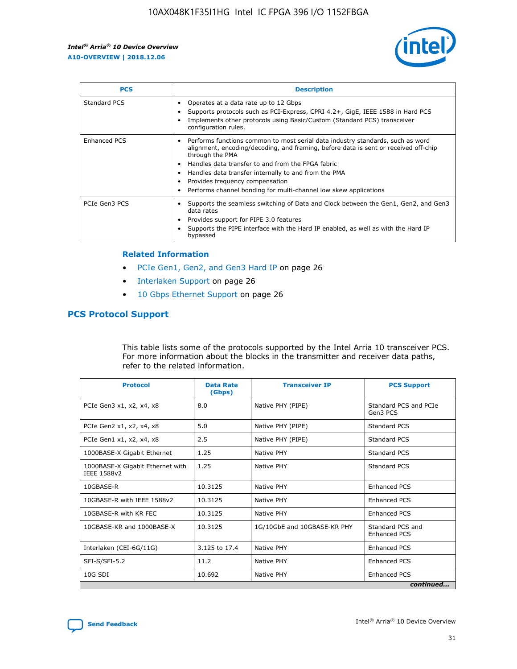

| <b>PCS</b>          | <b>Description</b>                                                                                                                                                                                                                                                                                                                                                                                             |
|---------------------|----------------------------------------------------------------------------------------------------------------------------------------------------------------------------------------------------------------------------------------------------------------------------------------------------------------------------------------------------------------------------------------------------------------|
| Standard PCS        | Operates at a data rate up to 12 Gbps<br>Supports protocols such as PCI-Express, CPRI 4.2+, GigE, IEEE 1588 in Hard PCS<br>Implements other protocols using Basic/Custom (Standard PCS) transceiver<br>configuration rules.                                                                                                                                                                                    |
| <b>Enhanced PCS</b> | Performs functions common to most serial data industry standards, such as word<br>alignment, encoding/decoding, and framing, before data is sent or received off-chip<br>through the PMA<br>• Handles data transfer to and from the FPGA fabric<br>Handles data transfer internally to and from the PMA<br>Provides frequency compensation<br>Performs channel bonding for multi-channel low skew applications |
| PCIe Gen3 PCS       | Supports the seamless switching of Data and Clock between the Gen1, Gen2, and Gen3<br>data rates<br>Provides support for PIPE 3.0 features<br>Supports the PIPE interface with the Hard IP enabled, as well as with the Hard IP<br>bypassed                                                                                                                                                                    |

#### **Related Information**

- PCIe Gen1, Gen2, and Gen3 Hard IP on page 26
- Interlaken Support on page 26
- 10 Gbps Ethernet Support on page 26

### **PCS Protocol Support**

This table lists some of the protocols supported by the Intel Arria 10 transceiver PCS. For more information about the blocks in the transmitter and receiver data paths, refer to the related information.

| <b>Protocol</b>                                 | <b>Data Rate</b><br>(Gbps) | <b>Transceiver IP</b>       | <b>PCS Support</b>                      |
|-------------------------------------------------|----------------------------|-----------------------------|-----------------------------------------|
| PCIe Gen3 x1, x2, x4, x8                        | 8.0                        | Native PHY (PIPE)           | Standard PCS and PCIe<br>Gen3 PCS       |
| PCIe Gen2 x1, x2, x4, x8                        | 5.0                        | Native PHY (PIPE)           | <b>Standard PCS</b>                     |
| PCIe Gen1 x1, x2, x4, x8                        | 2.5                        | Native PHY (PIPE)           | Standard PCS                            |
| 1000BASE-X Gigabit Ethernet                     | 1.25                       | Native PHY                  | <b>Standard PCS</b>                     |
| 1000BASE-X Gigabit Ethernet with<br>IEEE 1588v2 | 1.25                       | Native PHY                  | Standard PCS                            |
| 10GBASE-R                                       | 10.3125                    | Native PHY                  | <b>Enhanced PCS</b>                     |
| 10GBASE-R with IEEE 1588v2                      | 10.3125                    | Native PHY                  | <b>Enhanced PCS</b>                     |
| 10GBASE-R with KR FEC                           | 10.3125                    | Native PHY                  | <b>Enhanced PCS</b>                     |
| 10GBASE-KR and 1000BASE-X                       | 10.3125                    | 1G/10GbE and 10GBASE-KR PHY | Standard PCS and<br><b>Enhanced PCS</b> |
| Interlaken (CEI-6G/11G)                         | 3.125 to 17.4              | Native PHY                  | <b>Enhanced PCS</b>                     |
| SFI-S/SFI-5.2                                   | 11.2                       | Native PHY                  | <b>Enhanced PCS</b>                     |
| $10G$ SDI                                       | 10.692                     | Native PHY                  | <b>Enhanced PCS</b>                     |
|                                                 |                            |                             | continued                               |

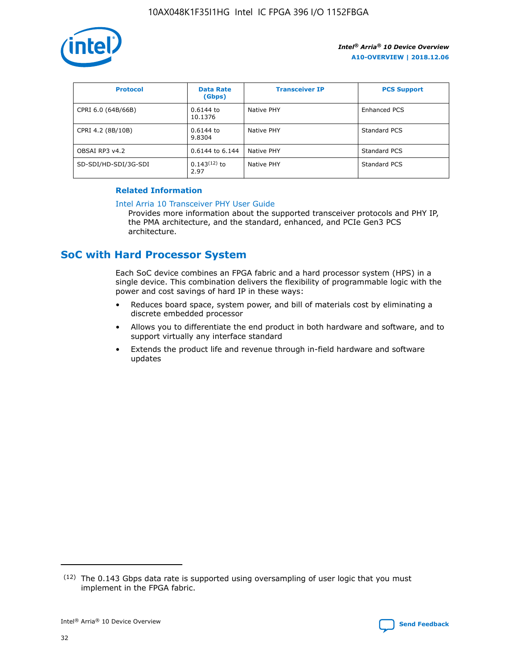

| <b>Protocol</b>      | <b>Data Rate</b><br>(Gbps) | <b>Transceiver IP</b> | <b>PCS Support</b> |
|----------------------|----------------------------|-----------------------|--------------------|
| CPRI 6.0 (64B/66B)   | 0.6144 to<br>10.1376       | Native PHY            | Enhanced PCS       |
| CPRI 4.2 (8B/10B)    | 0.6144 to<br>9.8304        | Native PHY            | Standard PCS       |
| OBSAI RP3 v4.2       | 0.6144 to 6.144            | Native PHY            | Standard PCS       |
| SD-SDI/HD-SDI/3G-SDI | $0.143(12)$ to<br>2.97     | Native PHY            | Standard PCS       |

### **Related Information**

#### [Intel Arria 10 Transceiver PHY User Guide](https://www.intel.com/content/www/us/en/programmable/documentation/nik1398707230472.html#nik1398707091164)

Provides more information about the supported transceiver protocols and PHY IP, the PMA architecture, and the standard, enhanced, and PCIe Gen3 PCS architecture.

### **SoC with Hard Processor System**

Each SoC device combines an FPGA fabric and a hard processor system (HPS) in a single device. This combination delivers the flexibility of programmable logic with the power and cost savings of hard IP in these ways:

- Reduces board space, system power, and bill of materials cost by eliminating a discrete embedded processor
- Allows you to differentiate the end product in both hardware and software, and to support virtually any interface standard
- Extends the product life and revenue through in-field hardware and software updates

 $(12)$  The 0.143 Gbps data rate is supported using oversampling of user logic that you must implement in the FPGA fabric.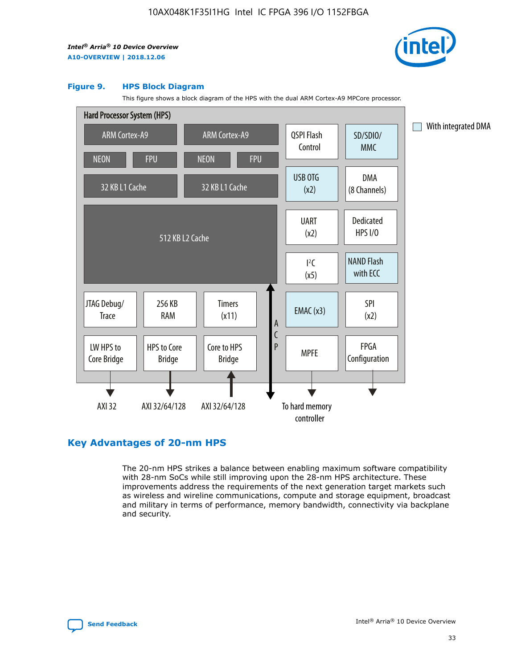

#### **Figure 9. HPS Block Diagram**

This figure shows a block diagram of the HPS with the dual ARM Cortex-A9 MPCore processor.



### **Key Advantages of 20-nm HPS**

The 20-nm HPS strikes a balance between enabling maximum software compatibility with 28-nm SoCs while still improving upon the 28-nm HPS architecture. These improvements address the requirements of the next generation target markets such as wireless and wireline communications, compute and storage equipment, broadcast and military in terms of performance, memory bandwidth, connectivity via backplane and security.

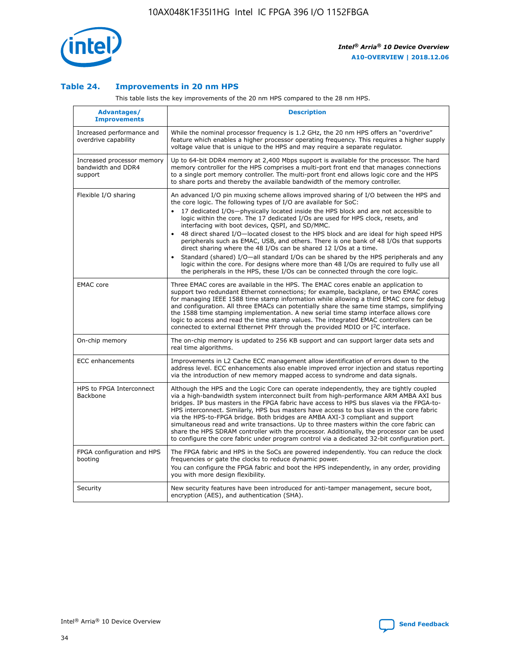

### **Table 24. Improvements in 20 nm HPS**

This table lists the key improvements of the 20 nm HPS compared to the 28 nm HPS.

| <b>Advantages/</b><br><b>Improvements</b>                   | <b>Description</b>                                                                                                                                                                                                                                                                                                                                                                                                                                                                                                                                                                                                                                                                                                                                                                                                                                                                                                      |
|-------------------------------------------------------------|-------------------------------------------------------------------------------------------------------------------------------------------------------------------------------------------------------------------------------------------------------------------------------------------------------------------------------------------------------------------------------------------------------------------------------------------------------------------------------------------------------------------------------------------------------------------------------------------------------------------------------------------------------------------------------------------------------------------------------------------------------------------------------------------------------------------------------------------------------------------------------------------------------------------------|
| Increased performance and<br>overdrive capability           | While the nominal processor frequency is 1.2 GHz, the 20 nm HPS offers an "overdrive"<br>feature which enables a higher processor operating frequency. This requires a higher supply<br>voltage value that is unique to the HPS and may require a separate regulator.                                                                                                                                                                                                                                                                                                                                                                                                                                                                                                                                                                                                                                                   |
| Increased processor memory<br>bandwidth and DDR4<br>support | Up to 64-bit DDR4 memory at 2,400 Mbps support is available for the processor. The hard<br>memory controller for the HPS comprises a multi-port front end that manages connections<br>to a single port memory controller. The multi-port front end allows logic core and the HPS<br>to share ports and thereby the available bandwidth of the memory controller.                                                                                                                                                                                                                                                                                                                                                                                                                                                                                                                                                        |
| Flexible I/O sharing                                        | An advanced I/O pin muxing scheme allows improved sharing of I/O between the HPS and<br>the core logic. The following types of I/O are available for SoC:<br>17 dedicated I/Os-physically located inside the HPS block and are not accessible to<br>logic within the core. The 17 dedicated I/Os are used for HPS clock, resets, and<br>interfacing with boot devices, QSPI, and SD/MMC.<br>48 direct shared I/O-located closest to the HPS block and are ideal for high speed HPS<br>peripherals such as EMAC, USB, and others. There is one bank of 48 I/Os that supports<br>direct sharing where the 48 I/Os can be shared 12 I/Os at a time.<br>Standard (shared) I/O-all standard I/Os can be shared by the HPS peripherals and any<br>logic within the core. For designs where more than 48 I/Os are required to fully use all<br>the peripherals in the HPS, these I/Os can be connected through the core logic. |
| <b>EMAC</b> core                                            | Three EMAC cores are available in the HPS. The EMAC cores enable an application to<br>support two redundant Ethernet connections; for example, backplane, or two EMAC cores<br>for managing IEEE 1588 time stamp information while allowing a third EMAC core for debug<br>and configuration. All three EMACs can potentially share the same time stamps, simplifying<br>the 1588 time stamping implementation. A new serial time stamp interface allows core<br>logic to access and read the time stamp values. The integrated EMAC controllers can be<br>connected to external Ethernet PHY through the provided MDIO or I <sup>2</sup> C interface.                                                                                                                                                                                                                                                                  |
| On-chip memory                                              | The on-chip memory is updated to 256 KB support and can support larger data sets and<br>real time algorithms.                                                                                                                                                                                                                                                                                                                                                                                                                                                                                                                                                                                                                                                                                                                                                                                                           |
| <b>ECC</b> enhancements                                     | Improvements in L2 Cache ECC management allow identification of errors down to the<br>address level. ECC enhancements also enable improved error injection and status reporting<br>via the introduction of new memory mapped access to syndrome and data signals.                                                                                                                                                                                                                                                                                                                                                                                                                                                                                                                                                                                                                                                       |
| HPS to FPGA Interconnect<br>Backbone                        | Although the HPS and the Logic Core can operate independently, they are tightly coupled<br>via a high-bandwidth system interconnect built from high-performance ARM AMBA AXI bus<br>bridges. IP bus masters in the FPGA fabric have access to HPS bus slaves via the FPGA-to-<br>HPS interconnect. Similarly, HPS bus masters have access to bus slaves in the core fabric<br>via the HPS-to-FPGA bridge. Both bridges are AMBA AXI-3 compliant and support<br>simultaneous read and write transactions. Up to three masters within the core fabric can<br>share the HPS SDRAM controller with the processor. Additionally, the processor can be used<br>to configure the core fabric under program control via a dedicated 32-bit configuration port.                                                                                                                                                                  |
| FPGA configuration and HPS<br>booting                       | The FPGA fabric and HPS in the SoCs are powered independently. You can reduce the clock<br>frequencies or gate the clocks to reduce dynamic power.<br>You can configure the FPGA fabric and boot the HPS independently, in any order, providing<br>you with more design flexibility.                                                                                                                                                                                                                                                                                                                                                                                                                                                                                                                                                                                                                                    |
| Security                                                    | New security features have been introduced for anti-tamper management, secure boot,<br>encryption (AES), and authentication (SHA).                                                                                                                                                                                                                                                                                                                                                                                                                                                                                                                                                                                                                                                                                                                                                                                      |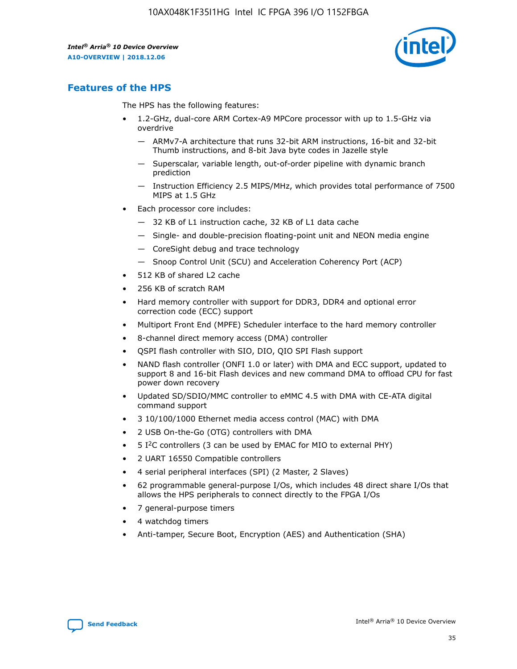

### **Features of the HPS**

The HPS has the following features:

- 1.2-GHz, dual-core ARM Cortex-A9 MPCore processor with up to 1.5-GHz via overdrive
	- ARMv7-A architecture that runs 32-bit ARM instructions, 16-bit and 32-bit Thumb instructions, and 8-bit Java byte codes in Jazelle style
	- Superscalar, variable length, out-of-order pipeline with dynamic branch prediction
	- Instruction Efficiency 2.5 MIPS/MHz, which provides total performance of 7500 MIPS at 1.5 GHz
- Each processor core includes:
	- 32 KB of L1 instruction cache, 32 KB of L1 data cache
	- Single- and double-precision floating-point unit and NEON media engine
	- CoreSight debug and trace technology
	- Snoop Control Unit (SCU) and Acceleration Coherency Port (ACP)
- 512 KB of shared L2 cache
- 256 KB of scratch RAM
- Hard memory controller with support for DDR3, DDR4 and optional error correction code (ECC) support
- Multiport Front End (MPFE) Scheduler interface to the hard memory controller
- 8-channel direct memory access (DMA) controller
- QSPI flash controller with SIO, DIO, QIO SPI Flash support
- NAND flash controller (ONFI 1.0 or later) with DMA and ECC support, updated to support 8 and 16-bit Flash devices and new command DMA to offload CPU for fast power down recovery
- Updated SD/SDIO/MMC controller to eMMC 4.5 with DMA with CE-ATA digital command support
- 3 10/100/1000 Ethernet media access control (MAC) with DMA
- 2 USB On-the-Go (OTG) controllers with DMA
- $\bullet$  5 I<sup>2</sup>C controllers (3 can be used by EMAC for MIO to external PHY)
- 2 UART 16550 Compatible controllers
- 4 serial peripheral interfaces (SPI) (2 Master, 2 Slaves)
- 62 programmable general-purpose I/Os, which includes 48 direct share I/Os that allows the HPS peripherals to connect directly to the FPGA I/Os
- 7 general-purpose timers
- 4 watchdog timers
- Anti-tamper, Secure Boot, Encryption (AES) and Authentication (SHA)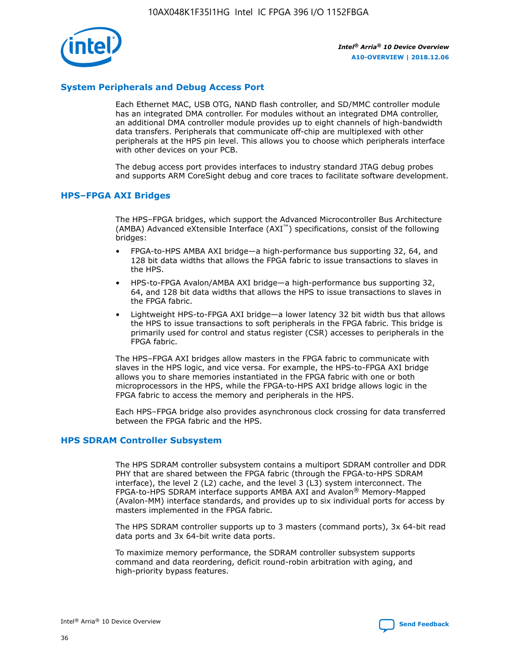

### **System Peripherals and Debug Access Port**

Each Ethernet MAC, USB OTG, NAND flash controller, and SD/MMC controller module has an integrated DMA controller. For modules without an integrated DMA controller, an additional DMA controller module provides up to eight channels of high-bandwidth data transfers. Peripherals that communicate off-chip are multiplexed with other peripherals at the HPS pin level. This allows you to choose which peripherals interface with other devices on your PCB.

The debug access port provides interfaces to industry standard JTAG debug probes and supports ARM CoreSight debug and core traces to facilitate software development.

#### **HPS–FPGA AXI Bridges**

The HPS–FPGA bridges, which support the Advanced Microcontroller Bus Architecture (AMBA) Advanced eXtensible Interface (AXI™) specifications, consist of the following bridges:

- FPGA-to-HPS AMBA AXI bridge—a high-performance bus supporting 32, 64, and 128 bit data widths that allows the FPGA fabric to issue transactions to slaves in the HPS.
- HPS-to-FPGA Avalon/AMBA AXI bridge—a high-performance bus supporting 32, 64, and 128 bit data widths that allows the HPS to issue transactions to slaves in the FPGA fabric.
- Lightweight HPS-to-FPGA AXI bridge—a lower latency 32 bit width bus that allows the HPS to issue transactions to soft peripherals in the FPGA fabric. This bridge is primarily used for control and status register (CSR) accesses to peripherals in the FPGA fabric.

The HPS–FPGA AXI bridges allow masters in the FPGA fabric to communicate with slaves in the HPS logic, and vice versa. For example, the HPS-to-FPGA AXI bridge allows you to share memories instantiated in the FPGA fabric with one or both microprocessors in the HPS, while the FPGA-to-HPS AXI bridge allows logic in the FPGA fabric to access the memory and peripherals in the HPS.

Each HPS–FPGA bridge also provides asynchronous clock crossing for data transferred between the FPGA fabric and the HPS.

#### **HPS SDRAM Controller Subsystem**

The HPS SDRAM controller subsystem contains a multiport SDRAM controller and DDR PHY that are shared between the FPGA fabric (through the FPGA-to-HPS SDRAM interface), the level 2 (L2) cache, and the level 3 (L3) system interconnect. The FPGA-to-HPS SDRAM interface supports AMBA AXI and Avalon® Memory-Mapped (Avalon-MM) interface standards, and provides up to six individual ports for access by masters implemented in the FPGA fabric.

The HPS SDRAM controller supports up to 3 masters (command ports), 3x 64-bit read data ports and 3x 64-bit write data ports.

To maximize memory performance, the SDRAM controller subsystem supports command and data reordering, deficit round-robin arbitration with aging, and high-priority bypass features.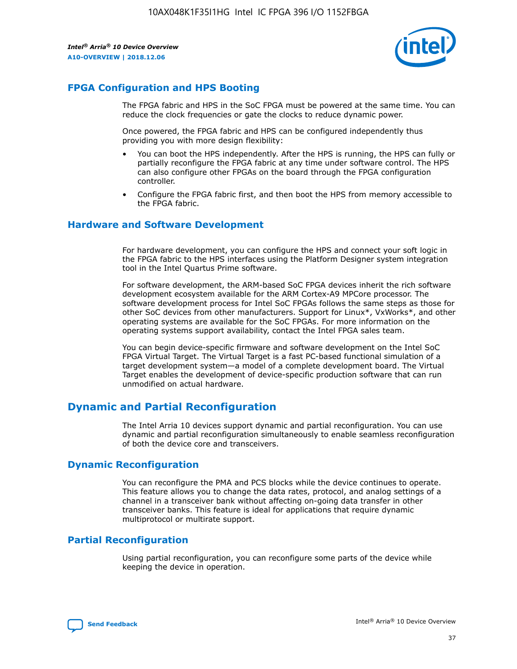

### **FPGA Configuration and HPS Booting**

The FPGA fabric and HPS in the SoC FPGA must be powered at the same time. You can reduce the clock frequencies or gate the clocks to reduce dynamic power.

Once powered, the FPGA fabric and HPS can be configured independently thus providing you with more design flexibility:

- You can boot the HPS independently. After the HPS is running, the HPS can fully or partially reconfigure the FPGA fabric at any time under software control. The HPS can also configure other FPGAs on the board through the FPGA configuration controller.
- Configure the FPGA fabric first, and then boot the HPS from memory accessible to the FPGA fabric.

### **Hardware and Software Development**

For hardware development, you can configure the HPS and connect your soft logic in the FPGA fabric to the HPS interfaces using the Platform Designer system integration tool in the Intel Quartus Prime software.

For software development, the ARM-based SoC FPGA devices inherit the rich software development ecosystem available for the ARM Cortex-A9 MPCore processor. The software development process for Intel SoC FPGAs follows the same steps as those for other SoC devices from other manufacturers. Support for Linux\*, VxWorks\*, and other operating systems are available for the SoC FPGAs. For more information on the operating systems support availability, contact the Intel FPGA sales team.

You can begin device-specific firmware and software development on the Intel SoC FPGA Virtual Target. The Virtual Target is a fast PC-based functional simulation of a target development system—a model of a complete development board. The Virtual Target enables the development of device-specific production software that can run unmodified on actual hardware.

### **Dynamic and Partial Reconfiguration**

The Intel Arria 10 devices support dynamic and partial reconfiguration. You can use dynamic and partial reconfiguration simultaneously to enable seamless reconfiguration of both the device core and transceivers.

### **Dynamic Reconfiguration**

You can reconfigure the PMA and PCS blocks while the device continues to operate. This feature allows you to change the data rates, protocol, and analog settings of a channel in a transceiver bank without affecting on-going data transfer in other transceiver banks. This feature is ideal for applications that require dynamic multiprotocol or multirate support.

### **Partial Reconfiguration**

Using partial reconfiguration, you can reconfigure some parts of the device while keeping the device in operation.

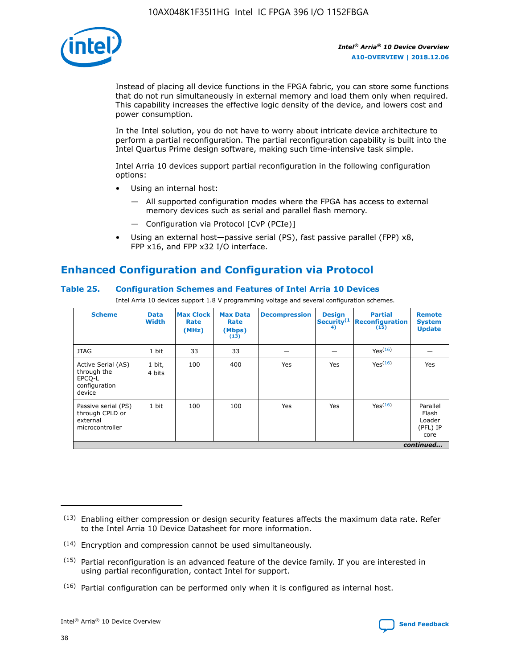

Instead of placing all device functions in the FPGA fabric, you can store some functions that do not run simultaneously in external memory and load them only when required. This capability increases the effective logic density of the device, and lowers cost and power consumption.

In the Intel solution, you do not have to worry about intricate device architecture to perform a partial reconfiguration. The partial reconfiguration capability is built into the Intel Quartus Prime design software, making such time-intensive task simple.

Intel Arria 10 devices support partial reconfiguration in the following configuration options:

- Using an internal host:
	- All supported configuration modes where the FPGA has access to external memory devices such as serial and parallel flash memory.
	- Configuration via Protocol [CvP (PCIe)]
- Using an external host—passive serial (PS), fast passive parallel (FPP) x8, FPP x16, and FPP x32 I/O interface.

### **Enhanced Configuration and Configuration via Protocol**

### **Table 25. Configuration Schemes and Features of Intel Arria 10 Devices**

Intel Arria 10 devices support 1.8 V programming voltage and several configuration schemes.

| <b>Scheme</b>                                                          | <b>Data</b><br><b>Width</b> | <b>Max Clock</b><br>Rate<br>(MHz) | <b>Max Data</b><br>Rate<br>(Mbps)<br>(13) | <b>Decompression</b> | <b>Design</b><br>Security <sup>(1</sup><br>4) | <b>Partial</b><br>Reconfiguration<br>(15) | <b>Remote</b><br><b>System</b><br><b>Update</b> |
|------------------------------------------------------------------------|-----------------------------|-----------------------------------|-------------------------------------------|----------------------|-----------------------------------------------|-------------------------------------------|-------------------------------------------------|
| <b>JTAG</b>                                                            | 1 bit                       | 33                                | 33                                        |                      |                                               | Yes(16)                                   |                                                 |
| Active Serial (AS)<br>through the<br>EPCO-L<br>configuration<br>device | 1 bit,<br>4 bits            | 100                               | 400                                       | Yes                  | Yes                                           | Yes(16)                                   | Yes                                             |
| Passive serial (PS)<br>through CPLD or<br>external<br>microcontroller  | 1 bit                       | 100                               | 100                                       | Yes                  | Yes                                           | Yes <sup>(16)</sup>                       | Parallel<br>Flash<br>Loader<br>(PFL) IP<br>core |
|                                                                        |                             |                                   |                                           |                      |                                               |                                           | continued                                       |

<sup>(13)</sup> Enabling either compression or design security features affects the maximum data rate. Refer to the Intel Arria 10 Device Datasheet for more information.

<sup>(14)</sup> Encryption and compression cannot be used simultaneously.

 $(15)$  Partial reconfiguration is an advanced feature of the device family. If you are interested in using partial reconfiguration, contact Intel for support.

 $(16)$  Partial configuration can be performed only when it is configured as internal host.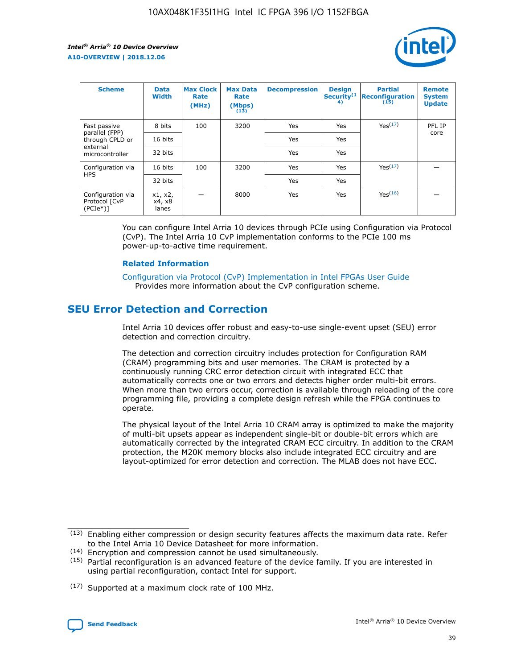

| <b>Scheme</b>                                   | <b>Data</b><br><b>Width</b> | <b>Max Clock</b><br>Rate<br>(MHz) | <b>Max Data</b><br>Rate<br>(Mbps)<br>(13) | <b>Decompression</b> | <b>Design</b><br>Security <sup>(1</sup><br>4) | <b>Partial</b><br><b>Reconfiguration</b><br>(15) | <b>Remote</b><br><b>System</b><br><b>Update</b> |
|-------------------------------------------------|-----------------------------|-----------------------------------|-------------------------------------------|----------------------|-----------------------------------------------|--------------------------------------------------|-------------------------------------------------|
| Fast passive                                    | 8 bits                      | 100                               | 3200                                      | Yes                  | Yes                                           | Yes <sup>(17)</sup>                              | PFL IP                                          |
| parallel (FPP)<br>through CPLD or               | 16 bits                     |                                   |                                           | Yes                  | Yes                                           |                                                  | core                                            |
| external<br>microcontroller                     | 32 bits                     |                                   |                                           | Yes                  | Yes                                           |                                                  |                                                 |
| Configuration via                               | 16 bits                     | 100                               | 3200                                      | Yes                  | Yes                                           | Yes <sup>(17)</sup>                              |                                                 |
| <b>HPS</b>                                      | 32 bits                     |                                   |                                           | Yes                  | Yes                                           |                                                  |                                                 |
| Configuration via<br>Protocol [CvP<br>$(PCIe*)$ | x1, x2,<br>x4, x8<br>lanes  |                                   | 8000                                      | Yes                  | Yes                                           | Yes <sup>(16)</sup>                              |                                                 |

You can configure Intel Arria 10 devices through PCIe using Configuration via Protocol (CvP). The Intel Arria 10 CvP implementation conforms to the PCIe 100 ms power-up-to-active time requirement.

#### **Related Information**

[Configuration via Protocol \(CvP\) Implementation in Intel FPGAs User Guide](https://www.intel.com/content/www/us/en/programmable/documentation/dsu1441819344145.html#dsu1442269728522) Provides more information about the CvP configuration scheme.

### **SEU Error Detection and Correction**

Intel Arria 10 devices offer robust and easy-to-use single-event upset (SEU) error detection and correction circuitry.

The detection and correction circuitry includes protection for Configuration RAM (CRAM) programming bits and user memories. The CRAM is protected by a continuously running CRC error detection circuit with integrated ECC that automatically corrects one or two errors and detects higher order multi-bit errors. When more than two errors occur, correction is available through reloading of the core programming file, providing a complete design refresh while the FPGA continues to operate.

The physical layout of the Intel Arria 10 CRAM array is optimized to make the majority of multi-bit upsets appear as independent single-bit or double-bit errors which are automatically corrected by the integrated CRAM ECC circuitry. In addition to the CRAM protection, the M20K memory blocks also include integrated ECC circuitry and are layout-optimized for error detection and correction. The MLAB does not have ECC.

(14) Encryption and compression cannot be used simultaneously.

<sup>(17)</sup> Supported at a maximum clock rate of 100 MHz.



 $(13)$  Enabling either compression or design security features affects the maximum data rate. Refer to the Intel Arria 10 Device Datasheet for more information.

 $(15)$  Partial reconfiguration is an advanced feature of the device family. If you are interested in using partial reconfiguration, contact Intel for support.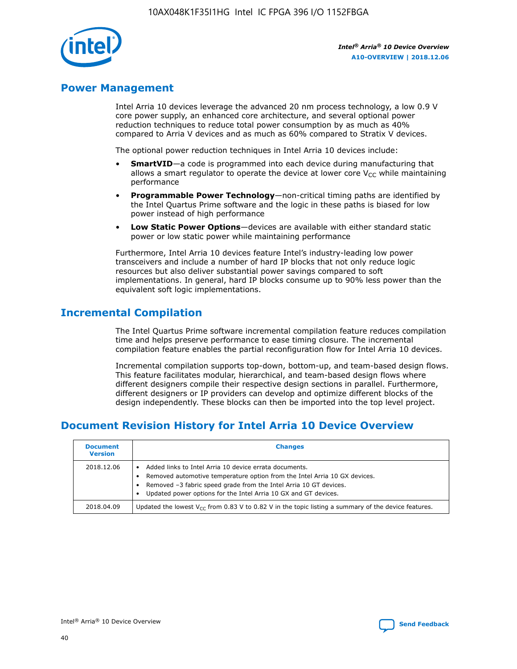

### **Power Management**

Intel Arria 10 devices leverage the advanced 20 nm process technology, a low 0.9 V core power supply, an enhanced core architecture, and several optional power reduction techniques to reduce total power consumption by as much as 40% compared to Arria V devices and as much as 60% compared to Stratix V devices.

The optional power reduction techniques in Intel Arria 10 devices include:

- **SmartVID**—a code is programmed into each device during manufacturing that allows a smart regulator to operate the device at lower core  $V_{CC}$  while maintaining performance
- **Programmable Power Technology**—non-critical timing paths are identified by the Intel Quartus Prime software and the logic in these paths is biased for low power instead of high performance
- **Low Static Power Options**—devices are available with either standard static power or low static power while maintaining performance

Furthermore, Intel Arria 10 devices feature Intel's industry-leading low power transceivers and include a number of hard IP blocks that not only reduce logic resources but also deliver substantial power savings compared to soft implementations. In general, hard IP blocks consume up to 90% less power than the equivalent soft logic implementations.

### **Incremental Compilation**

The Intel Quartus Prime software incremental compilation feature reduces compilation time and helps preserve performance to ease timing closure. The incremental compilation feature enables the partial reconfiguration flow for Intel Arria 10 devices.

Incremental compilation supports top-down, bottom-up, and team-based design flows. This feature facilitates modular, hierarchical, and team-based design flows where different designers compile their respective design sections in parallel. Furthermore, different designers or IP providers can develop and optimize different blocks of the design independently. These blocks can then be imported into the top level project.

### **Document Revision History for Intel Arria 10 Device Overview**

| <b>Document</b><br><b>Version</b> | <b>Changes</b>                                                                                                                                                                                                                                                              |
|-----------------------------------|-----------------------------------------------------------------------------------------------------------------------------------------------------------------------------------------------------------------------------------------------------------------------------|
| 2018.12.06                        | Added links to Intel Arria 10 device errata documents.<br>Removed automotive temperature option from the Intel Arria 10 GX devices.<br>Removed -3 fabric speed grade from the Intel Arria 10 GT devices.<br>Updated power options for the Intel Arria 10 GX and GT devices. |
| 2018.04.09                        | Updated the lowest $V_{CC}$ from 0.83 V to 0.82 V in the topic listing a summary of the device features.                                                                                                                                                                    |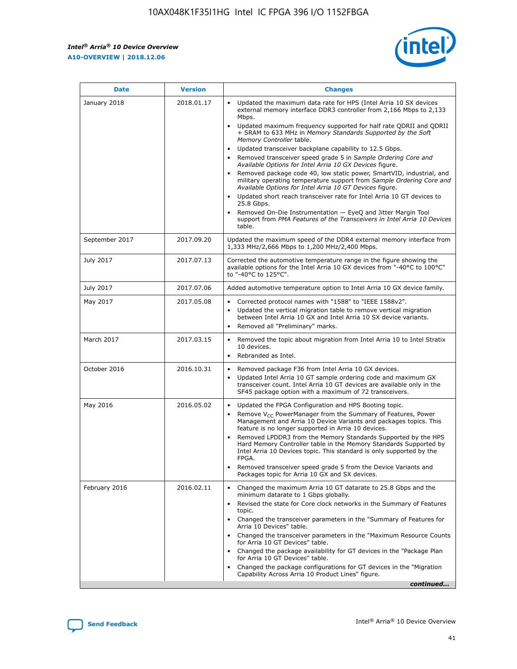*Intel® Arria® 10 Device Overview* **A10-OVERVIEW | 2018.12.06**



| <b>Date</b>    | <b>Version</b> | <b>Changes</b>                                                                                                                                                                                                                                                                                                                                                                                                                                                                                                                                                                                                                                                                                                                                                                                                                                                                                                                                                            |
|----------------|----------------|---------------------------------------------------------------------------------------------------------------------------------------------------------------------------------------------------------------------------------------------------------------------------------------------------------------------------------------------------------------------------------------------------------------------------------------------------------------------------------------------------------------------------------------------------------------------------------------------------------------------------------------------------------------------------------------------------------------------------------------------------------------------------------------------------------------------------------------------------------------------------------------------------------------------------------------------------------------------------|
| January 2018   | 2018.01.17     | Updated the maximum data rate for HPS (Intel Arria 10 SX devices<br>external memory interface DDR3 controller from 2,166 Mbps to 2,133<br>Mbps.<br>Updated maximum frequency supported for half rate QDRII and QDRII<br>+ SRAM to 633 MHz in Memory Standards Supported by the Soft<br>Memory Controller table.<br>Updated transceiver backplane capability to 12.5 Gbps.<br>$\bullet$<br>Removed transceiver speed grade 5 in Sample Ordering Core and<br>Available Options for Intel Arria 10 GX Devices figure.<br>Removed package code 40, low static power, SmartVID, industrial, and<br>military operating temperature support from Sample Ordering Core and<br>Available Options for Intel Arria 10 GT Devices figure.<br>Updated short reach transceiver rate for Intel Arria 10 GT devices to<br>25.8 Gbps.<br>Removed On-Die Instrumentation - EyeQ and Jitter Margin Tool<br>support from PMA Features of the Transceivers in Intel Arria 10 Devices<br>table. |
| September 2017 | 2017.09.20     | Updated the maximum speed of the DDR4 external memory interface from<br>1,333 MHz/2,666 Mbps to 1,200 MHz/2,400 Mbps.                                                                                                                                                                                                                                                                                                                                                                                                                                                                                                                                                                                                                                                                                                                                                                                                                                                     |
| July 2017      | 2017.07.13     | Corrected the automotive temperature range in the figure showing the<br>available options for the Intel Arria 10 GX devices from "-40°C to 100°C"<br>to "-40°C to 125°C".                                                                                                                                                                                                                                                                                                                                                                                                                                                                                                                                                                                                                                                                                                                                                                                                 |
| July 2017      | 2017.07.06     | Added automotive temperature option to Intel Arria 10 GX device family.                                                                                                                                                                                                                                                                                                                                                                                                                                                                                                                                                                                                                                                                                                                                                                                                                                                                                                   |
| May 2017       | 2017.05.08     | Corrected protocol names with "1588" to "IEEE 1588v2".<br>$\bullet$<br>Updated the vertical migration table to remove vertical migration<br>$\bullet$<br>between Intel Arria 10 GX and Intel Arria 10 SX device variants.<br>Removed all "Preliminary" marks.<br>$\bullet$                                                                                                                                                                                                                                                                                                                                                                                                                                                                                                                                                                                                                                                                                                |
| March 2017     | 2017.03.15     | Removed the topic about migration from Intel Arria 10 to Intel Stratix<br>10 devices.<br>Rebranded as Intel.<br>$\bullet$                                                                                                                                                                                                                                                                                                                                                                                                                                                                                                                                                                                                                                                                                                                                                                                                                                                 |
| October 2016   | 2016.10.31     | Removed package F36 from Intel Arria 10 GX devices.<br>Updated Intel Arria 10 GT sample ordering code and maximum GX<br>$\bullet$<br>transceiver count. Intel Arria 10 GT devices are available only in the<br>SF45 package option with a maximum of 72 transceivers.                                                                                                                                                                                                                                                                                                                                                                                                                                                                                                                                                                                                                                                                                                     |
| May 2016       | 2016.05.02     | Updated the FPGA Configuration and HPS Booting topic.<br>$\bullet$<br>Remove V <sub>CC</sub> PowerManager from the Summary of Features, Power<br>Management and Arria 10 Device Variants and packages topics. This<br>feature is no longer supported in Arria 10 devices.<br>Removed LPDDR3 from the Memory Standards Supported by the HPS<br>Hard Memory Controller table in the Memory Standards Supported by<br>Intel Arria 10 Devices topic. This standard is only supported by the<br>FPGA.<br>Removed transceiver speed grade 5 from the Device Variants and<br>Packages topic for Arria 10 GX and SX devices.                                                                                                                                                                                                                                                                                                                                                      |
| February 2016  | 2016.02.11     | Changed the maximum Arria 10 GT datarate to 25.8 Gbps and the<br>minimum datarate to 1 Gbps globally.<br>Revised the state for Core clock networks in the Summary of Features<br>$\bullet$<br>topic.<br>Changed the transceiver parameters in the "Summary of Features for<br>$\bullet$<br>Arria 10 Devices" table.<br>• Changed the transceiver parameters in the "Maximum Resource Counts<br>for Arria 10 GT Devices" table.<br>Changed the package availability for GT devices in the "Package Plan<br>for Arria 10 GT Devices" table.<br>Changed the package configurations for GT devices in the "Migration"<br>Capability Across Arria 10 Product Lines" figure.<br>continued                                                                                                                                                                                                                                                                                       |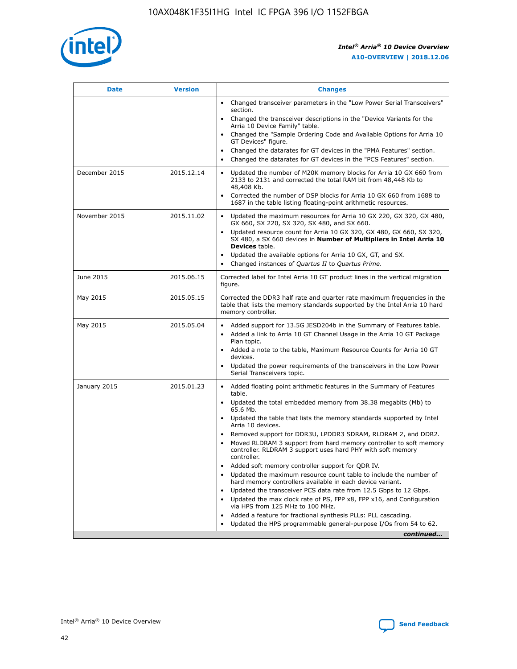

| <b>Date</b>   | <b>Version</b> | <b>Changes</b>                                                                                                                                                                   |
|---------------|----------------|----------------------------------------------------------------------------------------------------------------------------------------------------------------------------------|
|               |                | • Changed transceiver parameters in the "Low Power Serial Transceivers"<br>section.                                                                                              |
|               |                | • Changed the transceiver descriptions in the "Device Variants for the<br>Arria 10 Device Family" table.                                                                         |
|               |                | Changed the "Sample Ordering Code and Available Options for Arria 10<br>GT Devices" figure.                                                                                      |
|               |                | Changed the datarates for GT devices in the "PMA Features" section.                                                                                                              |
|               |                | Changed the datarates for GT devices in the "PCS Features" section.<br>$\bullet$                                                                                                 |
| December 2015 | 2015.12.14     | Updated the number of M20K memory blocks for Arria 10 GX 660 from<br>$\bullet$<br>2133 to 2131 and corrected the total RAM bit from 48,448 Kb to<br>48,408 Kb.                   |
|               |                | Corrected the number of DSP blocks for Arria 10 GX 660 from 1688 to<br>$\bullet$<br>1687 in the table listing floating-point arithmetic resources.                               |
| November 2015 | 2015.11.02     | Updated the maximum resources for Arria 10 GX 220, GX 320, GX 480,<br>$\bullet$<br>GX 660, SX 220, SX 320, SX 480, and SX 660.                                                   |
|               |                | Updated resource count for Arria 10 GX 320, GX 480, GX 660, SX 320,<br>$\bullet$<br>SX 480, a SX 660 devices in Number of Multipliers in Intel Arria 10<br><b>Devices</b> table. |
|               |                | Updated the available options for Arria 10 GX, GT, and SX.<br>$\bullet$                                                                                                          |
|               |                | Changed instances of Quartus II to Quartus Prime.<br>$\bullet$                                                                                                                   |
| June 2015     | 2015.06.15     | Corrected label for Intel Arria 10 GT product lines in the vertical migration<br>figure.                                                                                         |
| May 2015      | 2015.05.15     | Corrected the DDR3 half rate and quarter rate maximum frequencies in the<br>table that lists the memory standards supported by the Intel Arria 10 hard<br>memory controller.     |
| May 2015      | 2015.05.04     | • Added support for 13.5G JESD204b in the Summary of Features table.<br>• Added a link to Arria 10 GT Channel Usage in the Arria 10 GT Package<br>Plan topic.                    |
|               |                | • Added a note to the table, Maximum Resource Counts for Arria 10 GT<br>devices.                                                                                                 |
|               |                | Updated the power requirements of the transceivers in the Low Power<br>Serial Transceivers topic.                                                                                |
| January 2015  | 2015.01.23     | • Added floating point arithmetic features in the Summary of Features<br>table.                                                                                                  |
|               |                | • Updated the total embedded memory from 38.38 megabits (Mb) to<br>65.6 Mb.                                                                                                      |
|               |                | • Updated the table that lists the memory standards supported by Intel<br>Arria 10 devices.                                                                                      |
|               |                | Removed support for DDR3U, LPDDR3 SDRAM, RLDRAM 2, and DDR2.                                                                                                                     |
|               |                | Moved RLDRAM 3 support from hard memory controller to soft memory<br>controller. RLDRAM 3 support uses hard PHY with soft memory<br>controller.                                  |
|               |                | Added soft memory controller support for QDR IV.                                                                                                                                 |
|               |                | Updated the maximum resource count table to include the number of<br>hard memory controllers available in each device variant.                                                   |
|               |                | Updated the transceiver PCS data rate from 12.5 Gbps to 12 Gbps.<br>$\bullet$                                                                                                    |
|               |                | Updated the max clock rate of PS, FPP x8, FPP x16, and Configuration<br>via HPS from 125 MHz to 100 MHz.                                                                         |
|               |                | Added a feature for fractional synthesis PLLs: PLL cascading.                                                                                                                    |
|               |                | Updated the HPS programmable general-purpose I/Os from 54 to 62.                                                                                                                 |
|               |                | continued                                                                                                                                                                        |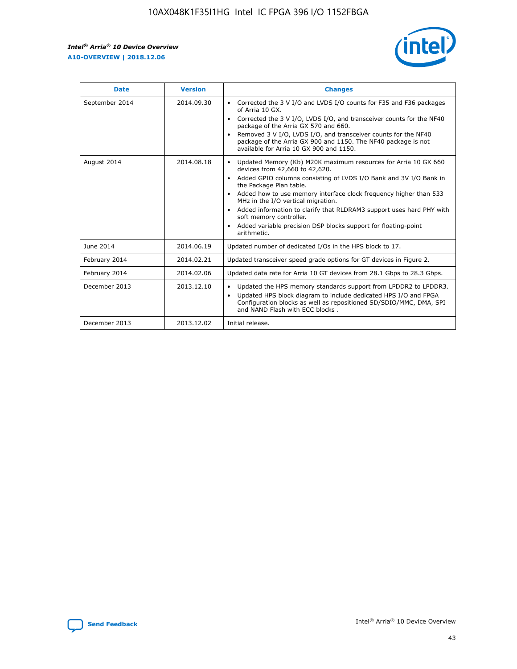r



| <b>Date</b>    | <b>Version</b> | <b>Changes</b>                                                                                                                                                                                                                                                                                                                                                                                                                                                                                                                                      |
|----------------|----------------|-----------------------------------------------------------------------------------------------------------------------------------------------------------------------------------------------------------------------------------------------------------------------------------------------------------------------------------------------------------------------------------------------------------------------------------------------------------------------------------------------------------------------------------------------------|
| September 2014 | 2014.09.30     | Corrected the 3 V I/O and LVDS I/O counts for F35 and F36 packages<br>of Arria 10 GX.<br>Corrected the 3 V I/O, LVDS I/O, and transceiver counts for the NF40<br>$\bullet$<br>package of the Arria GX 570 and 660.<br>Removed 3 V I/O, LVDS I/O, and transceiver counts for the NF40<br>package of the Arria GX 900 and 1150. The NF40 package is not<br>available for Arria 10 GX 900 and 1150.                                                                                                                                                    |
| August 2014    | 2014.08.18     | Updated Memory (Kb) M20K maximum resources for Arria 10 GX 660<br>devices from 42,660 to 42,620.<br>Added GPIO columns consisting of LVDS I/O Bank and 3V I/O Bank in<br>$\bullet$<br>the Package Plan table.<br>Added how to use memory interface clock frequency higher than 533<br>$\bullet$<br>MHz in the I/O vertical migration.<br>Added information to clarify that RLDRAM3 support uses hard PHY with<br>$\bullet$<br>soft memory controller.<br>Added variable precision DSP blocks support for floating-point<br>$\bullet$<br>arithmetic. |
| June 2014      | 2014.06.19     | Updated number of dedicated I/Os in the HPS block to 17.                                                                                                                                                                                                                                                                                                                                                                                                                                                                                            |
| February 2014  | 2014.02.21     | Updated transceiver speed grade options for GT devices in Figure 2.                                                                                                                                                                                                                                                                                                                                                                                                                                                                                 |
| February 2014  | 2014.02.06     | Updated data rate for Arria 10 GT devices from 28.1 Gbps to 28.3 Gbps.                                                                                                                                                                                                                                                                                                                                                                                                                                                                              |
| December 2013  | 2013.12.10     | Updated the HPS memory standards support from LPDDR2 to LPDDR3.<br>Updated HPS block diagram to include dedicated HPS I/O and FPGA<br>$\bullet$<br>Configuration blocks as well as repositioned SD/SDIO/MMC, DMA, SPI<br>and NAND Flash with ECC blocks.                                                                                                                                                                                                                                                                                            |
| December 2013  | 2013.12.02     | Initial release.                                                                                                                                                                                                                                                                                                                                                                                                                                                                                                                                    |